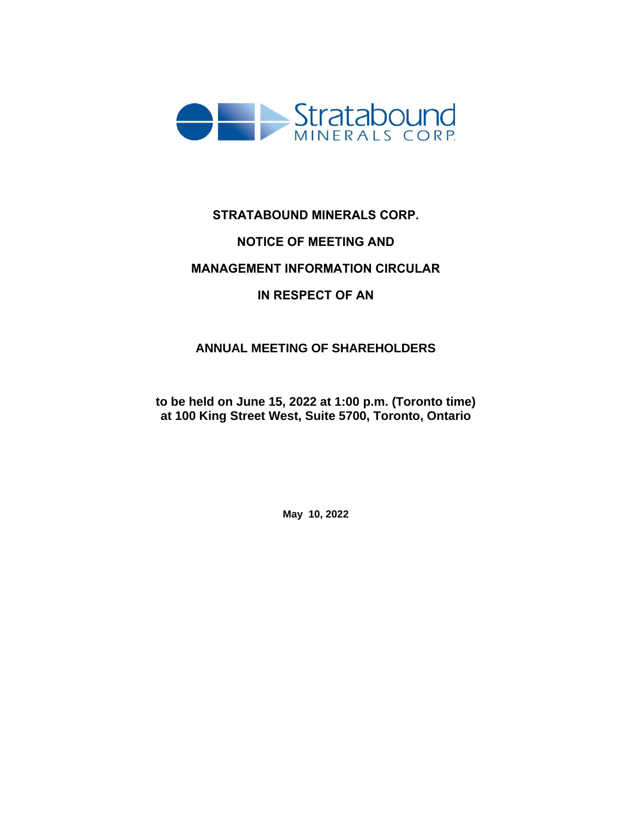

# **STRATABOUND MINERALS CORP. NOTICE OF MEETING AND**

# **MANAGEMENT INFORMATION CIRCULAR**

# **IN RESPECT OF AN**

# **ANNUAL MEETING OF SHAREHOLDERS**

**to be held on June 15, 2022 at 1:00 p.m. (Toronto time) at 100 King Street West, Suite 5700, Toronto, Ontario**

**May 10, 2022**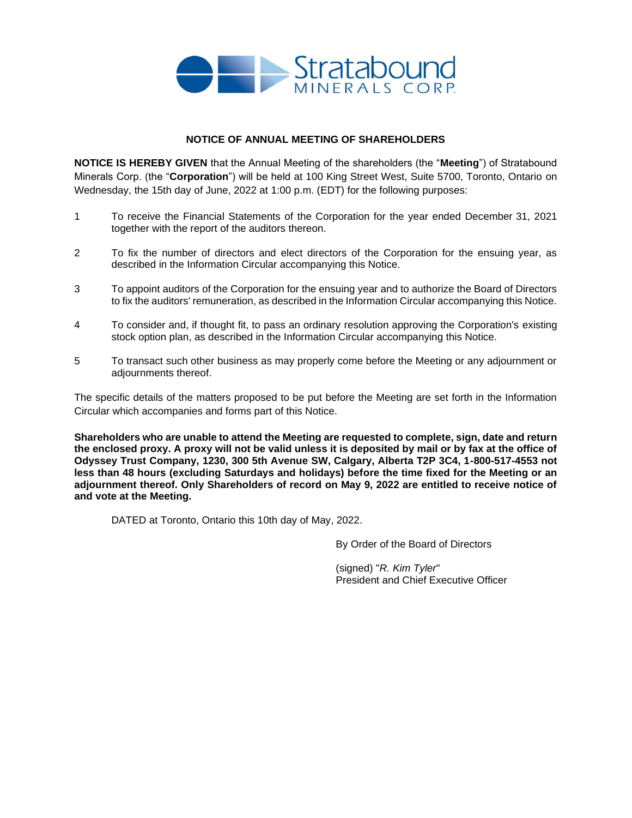

# **NOTICE OF ANNUAL MEETING OF SHAREHOLDERS**

**NOTICE IS HEREBY GIVEN** that the Annual Meeting of the shareholders (the "**Meeting**") of Stratabound Minerals Corp. (the "**Corporation**") will be held at 100 King Street West, Suite 5700, Toronto, Ontario on Wednesday, the 15th day of June, 2022 at 1:00 p.m. (EDT) for the following purposes:

- 1 To receive the Financial Statements of the Corporation for the year ended December 31, 2021 together with the report of the auditors thereon.
- 2 To fix the number of directors and elect directors of the Corporation for the ensuing year, as described in the Information Circular accompanying this Notice.
- 3 To appoint auditors of the Corporation for the ensuing year and to authorize the Board of Directors to fix the auditors' remuneration, as described in the Information Circular accompanying this Notice.
- 4 To consider and, if thought fit, to pass an ordinary resolution approving the Corporation's existing stock option plan, as described in the Information Circular accompanying this Notice.
- 5 To transact such other business as may properly come before the Meeting or any adjournment or adjournments thereof.

The specific details of the matters proposed to be put before the Meeting are set forth in the Information Circular which accompanies and forms part of this Notice.

**Shareholders who are unable to attend the Meeting are requested to complete, sign, date and return the enclosed proxy. A proxy will not be valid unless it is deposited by mail or by fax at the office of Odyssey Trust Company, 1230, 300 5th Avenue SW, Calgary, Alberta T2P 3C4, 1-800-517-4553 not less than 48 hours (excluding Saturdays and holidays) before the time fixed for the Meeting or an adjournment thereof. Only Shareholders of record on May 9, 2022 are entitled to receive notice of and vote at the Meeting.**

DATED at Toronto, Ontario this 10th day of May, 2022.

By Order of the Board of Directors

(signed) "*R. Kim Tyler*" President and Chief Executive Officer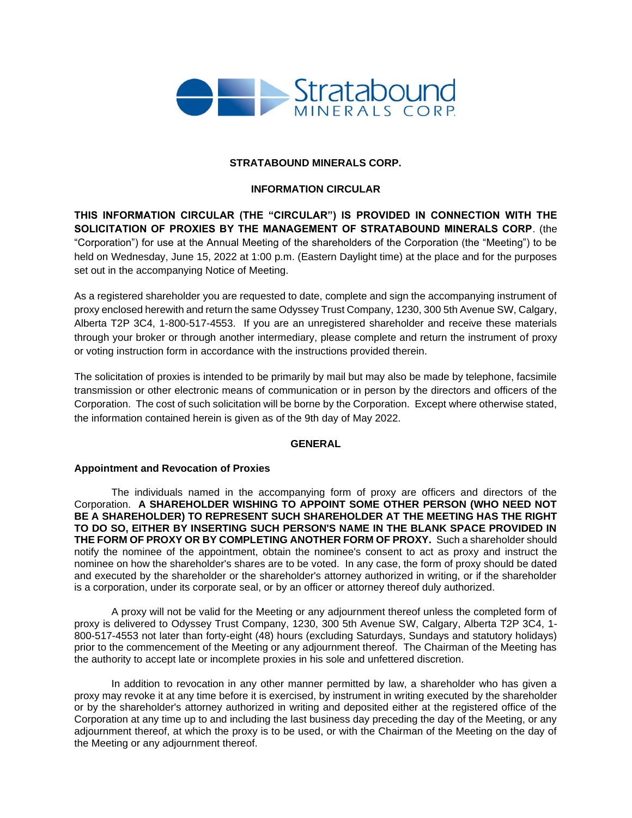

# **STRATABOUND MINERALS CORP.**

# **INFORMATION CIRCULAR**

**THIS INFORMATION CIRCULAR (THE "CIRCULAR") IS PROVIDED IN CONNECTION WITH THE SOLICITATION OF PROXIES BY THE MANAGEMENT OF STRATABOUND MINERALS CORP**. (the "Corporation") for use at the Annual Meeting of the shareholders of the Corporation (the "Meeting") to be held on Wednesday, June 15, 2022 at 1:00 p.m. (Eastern Daylight time) at the place and for the purposes set out in the accompanying Notice of Meeting.

As a registered shareholder you are requested to date, complete and sign the accompanying instrument of proxy enclosed herewith and return the same Odyssey Trust Company, 1230, 300 5th Avenue SW, Calgary, Alberta T2P 3C4, 1-800-517-4553. If you are an unregistered shareholder and receive these materials through your broker or through another intermediary, please complete and return the instrument of proxy or voting instruction form in accordance with the instructions provided therein.

The solicitation of proxies is intended to be primarily by mail but may also be made by telephone, facsimile transmission or other electronic means of communication or in person by the directors and officers of the Corporation. The cost of such solicitation will be borne by the Corporation. Except where otherwise stated, the information contained herein is given as of the 9th day of May 2022.

# **GENERAL**

# **Appointment and Revocation of Proxies**

The individuals named in the accompanying form of proxy are officers and directors of the Corporation. **A SHAREHOLDER WISHING TO APPOINT SOME OTHER PERSON (WHO NEED NOT BE A SHAREHOLDER) TO REPRESENT SUCH SHAREHOLDER AT THE MEETING HAS THE RIGHT TO DO SO, EITHER BY INSERTING SUCH PERSON'S NAME IN THE BLANK SPACE PROVIDED IN THE FORM OF PROXY OR BY COMPLETING ANOTHER FORM OF PROXY.** Such a shareholder should notify the nominee of the appointment, obtain the nominee's consent to act as proxy and instruct the nominee on how the shareholder's shares are to be voted. In any case, the form of proxy should be dated and executed by the shareholder or the shareholder's attorney authorized in writing, or if the shareholder is a corporation, under its corporate seal, or by an officer or attorney thereof duly authorized.

A proxy will not be valid for the Meeting or any adjournment thereof unless the completed form of proxy is delivered to Odyssey Trust Company, 1230, 300 5th Avenue SW, Calgary, Alberta T2P 3C4, 1- 800-517-4553 not later than forty-eight (48) hours (excluding Saturdays, Sundays and statutory holidays) prior to the commencement of the Meeting or any adjournment thereof. The Chairman of the Meeting has the authority to accept late or incomplete proxies in his sole and unfettered discretion.

In addition to revocation in any other manner permitted by law, a shareholder who has given a proxy may revoke it at any time before it is exercised, by instrument in writing executed by the shareholder or by the shareholder's attorney authorized in writing and deposited either at the registered office of the Corporation at any time up to and including the last business day preceding the day of the Meeting, or any adjournment thereof, at which the proxy is to be used, or with the Chairman of the Meeting on the day of the Meeting or any adjournment thereof.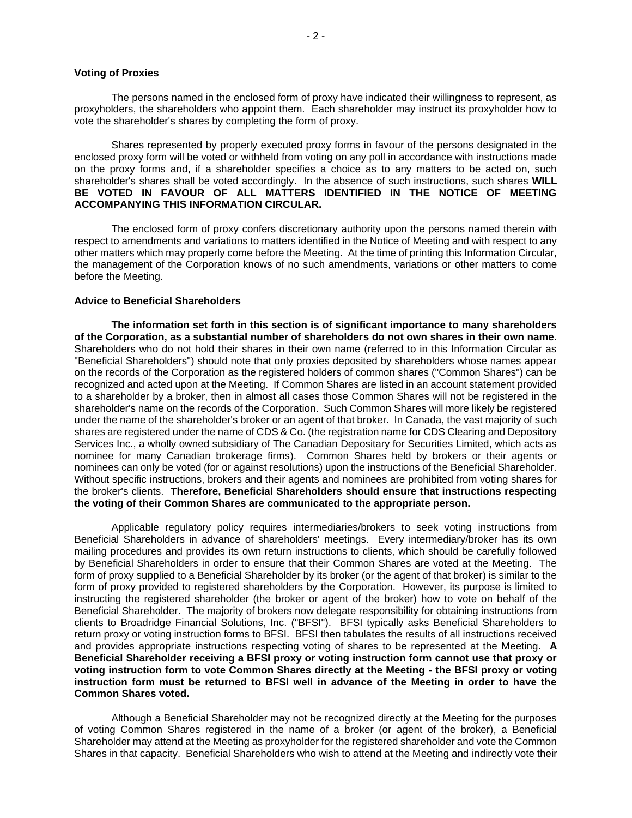### **Voting of Proxies**

The persons named in the enclosed form of proxy have indicated their willingness to represent, as proxyholders, the shareholders who appoint them. Each shareholder may instruct its proxyholder how to vote the shareholder's shares by completing the form of proxy.

Shares represented by properly executed proxy forms in favour of the persons designated in the enclosed proxy form will be voted or withheld from voting on any poll in accordance with instructions made on the proxy forms and, if a shareholder specifies a choice as to any matters to be acted on, such shareholder's shares shall be voted accordingly. In the absence of such instructions, such shares **WILL BE VOTED IN FAVOUR OF ALL MATTERS IDENTIFIED IN THE NOTICE OF MEETING ACCOMPANYING THIS INFORMATION CIRCULAR.**

The enclosed form of proxy confers discretionary authority upon the persons named therein with respect to amendments and variations to matters identified in the Notice of Meeting and with respect to any other matters which may properly come before the Meeting. At the time of printing this Information Circular, the management of the Corporation knows of no such amendments, variations or other matters to come before the Meeting.

# **Advice to Beneficial Shareholders**

**The information set forth in this section is of significant importance to many shareholders of the Corporation, as a substantial number of shareholders do not own shares in their own name.**  Shareholders who do not hold their shares in their own name (referred to in this Information Circular as "Beneficial Shareholders") should note that only proxies deposited by shareholders whose names appear on the records of the Corporation as the registered holders of common shares ("Common Shares") can be recognized and acted upon at the Meeting. If Common Shares are listed in an account statement provided to a shareholder by a broker, then in almost all cases those Common Shares will not be registered in the shareholder's name on the records of the Corporation. Such Common Shares will more likely be registered under the name of the shareholder's broker or an agent of that broker. In Canada, the vast majority of such shares are registered under the name of CDS & Co. (the registration name for CDS Clearing and Depository Services Inc., a wholly owned subsidiary of The Canadian Depositary for Securities Limited, which acts as nominee for many Canadian brokerage firms). Common Shares held by brokers or their agents or nominees can only be voted (for or against resolutions) upon the instructions of the Beneficial Shareholder. Without specific instructions, brokers and their agents and nominees are prohibited from voting shares for the broker's clients. **Therefore, Beneficial Shareholders should ensure that instructions respecting the voting of their Common Shares are communicated to the appropriate person.** 

Applicable regulatory policy requires intermediaries/brokers to seek voting instructions from Beneficial Shareholders in advance of shareholders' meetings. Every intermediary/broker has its own mailing procedures and provides its own return instructions to clients, which should be carefully followed by Beneficial Shareholders in order to ensure that their Common Shares are voted at the Meeting. The form of proxy supplied to a Beneficial Shareholder by its broker (or the agent of that broker) is similar to the form of proxy provided to registered shareholders by the Corporation. However, its purpose is limited to instructing the registered shareholder (the broker or agent of the broker) how to vote on behalf of the Beneficial Shareholder. The majority of brokers now delegate responsibility for obtaining instructions from clients to Broadridge Financial Solutions, Inc. ("BFSI"). BFSI typically asks Beneficial Shareholders to return proxy or voting instruction forms to BFSI. BFSI then tabulates the results of all instructions received and provides appropriate instructions respecting voting of shares to be represented at the Meeting. **A Beneficial Shareholder receiving a BFSI proxy or voting instruction form cannot use that proxy or voting instruction form to vote Common Shares directly at the Meeting - the BFSI proxy or voting instruction form must be returned to BFSI well in advance of the Meeting in order to have the Common Shares voted.**

Although a Beneficial Shareholder may not be recognized directly at the Meeting for the purposes of voting Common Shares registered in the name of a broker (or agent of the broker), a Beneficial Shareholder may attend at the Meeting as proxyholder for the registered shareholder and vote the Common Shares in that capacity. Beneficial Shareholders who wish to attend at the Meeting and indirectly vote their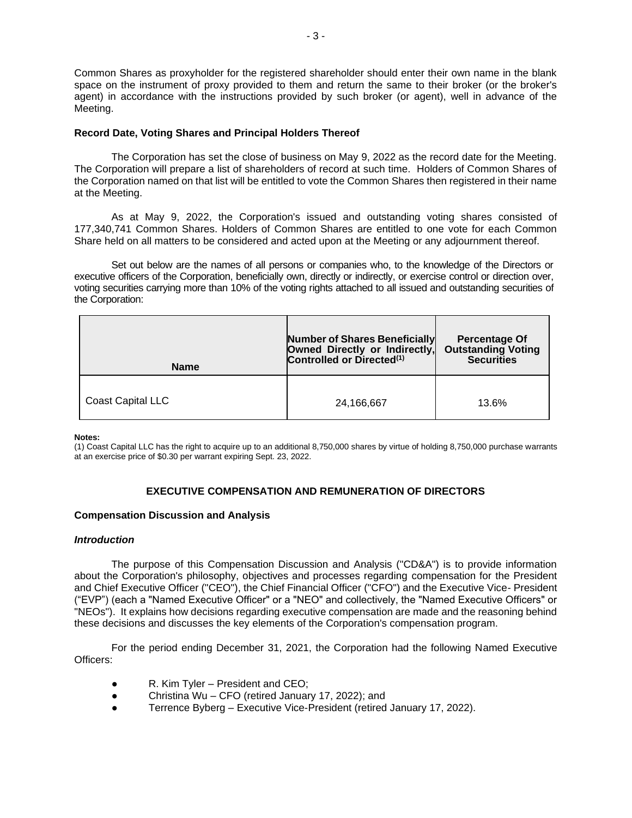Common Shares as proxyholder for the registered shareholder should enter their own name in the blank space on the instrument of proxy provided to them and return the same to their broker (or the broker's agent) in accordance with the instructions provided by such broker (or agent), well in advance of the Meeting.

# **Record Date, Voting Shares and Principal Holders Thereof**

The Corporation has set the close of business on May 9, 2022 as the record date for the Meeting. The Corporation will prepare a list of shareholders of record at such time. Holders of Common Shares of the Corporation named on that list will be entitled to vote the Common Shares then registered in their name at the Meeting.

As at May 9, 2022, the Corporation's issued and outstanding voting shares consisted of 177,340,741 Common Shares. Holders of Common Shares are entitled to one vote for each Common Share held on all matters to be considered and acted upon at the Meeting or any adjournment thereof.

Set out below are the names of all persons or companies who, to the knowledge of the Directors or executive officers of the Corporation, beneficially own, directly or indirectly, or exercise control or direction over, voting securities carrying more than 10% of the voting rights attached to all issued and outstanding securities of the Corporation:

| <b>Name</b>       | Number of Shares Beneficially<br>Owned Directly or Indirectly,<br>Controlled or Directed <sup>(1)</sup> | <b>Percentage Of</b><br><b>Outstanding Voting</b><br><b>Securities</b> |
|-------------------|---------------------------------------------------------------------------------------------------------|------------------------------------------------------------------------|
| Coast Capital LLC | 24,166,667                                                                                              | 13.6%                                                                  |

**Notes:**

(1) Coast Capital LLC has the right to acquire up to an additional 8,750,000 shares by virtue of holding 8,750,000 purchase warrants at an exercise price of \$0.30 per warrant expiring Sept. 23, 2022.

# **EXECUTIVE COMPENSATION AND REMUNERATION OF DIRECTORS**

# **Compensation Discussion and Analysis**

#### *Introduction*

The purpose of this Compensation Discussion and Analysis ("CD&A") is to provide information about the Corporation's philosophy, objectives and processes regarding compensation for the President and Chief Executive Officer ("CEO"), the Chief Financial Officer ("CFO") and the Executive Vice- President ("EVP") (each a "Named Executive Officer" or a "NEO" and collectively, the "Named Executive Officers" or "NEOs"). It explains how decisions regarding executive compensation are made and the reasoning behind these decisions and discusses the key elements of the Corporation's compensation program.

For the period ending December 31, 2021, the Corporation had the following Named Executive Officers:

- R. Kim Tyler President and CEO;
- Christina Wu CFO (retired January 17, 2022); and
- Terrence Byberg Executive Vice-President (retired January 17, 2022).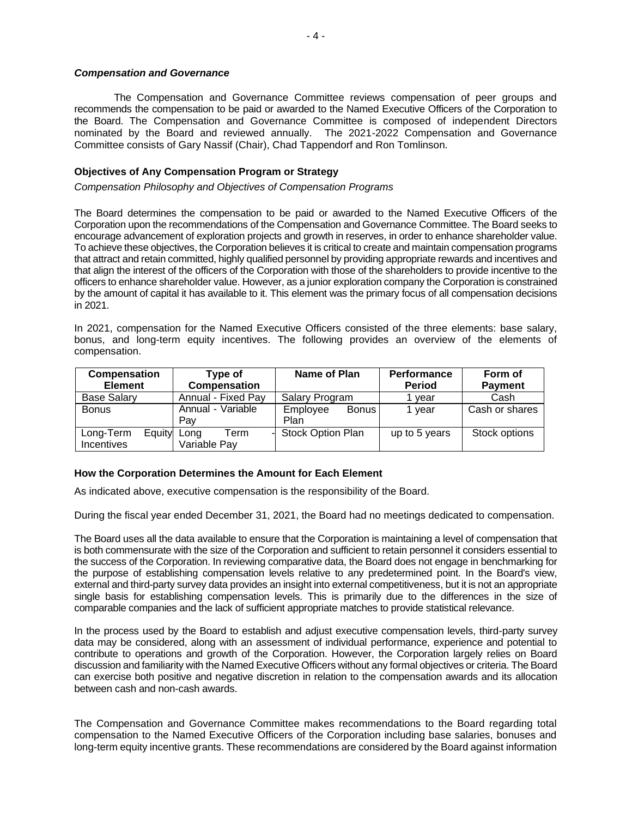#### *Compensation and Governance*

The Compensation and Governance Committee reviews compensation of peer groups and recommends the compensation to be paid or awarded to the Named Executive Officers of the Corporation to the Board. The Compensation and Governance Committee is composed of independent Directors nominated by the Board and reviewed annually. The 2021-2022 Compensation and Governance Committee consists of Gary Nassif (Chair), Chad Tappendorf and Ron Tomlinson.

# **Objectives of Any Compensation Program or Strategy**

*Compensation Philosophy and Objectives of Compensation Programs*

The Board determines the compensation to be paid or awarded to the Named Executive Officers of the Corporation upon the recommendations of the Compensation and Governance Committee. The Board seeks to encourage advancement of exploration projects and growth in reserves, in order to enhance shareholder value. To achieve these objectives, the Corporation believes it is critical to create and maintain compensation programs that attract and retain committed, highly qualified personnel by providing appropriate rewards and incentives and that align the interest of the officers of the Corporation with those of the shareholders to provide incentive to the officers to enhance shareholder value. However, as a junior exploration company the Corporation is constrained by the amount of capital it has available to it. This element was the primary focus of all compensation decisions in 2021.

In 2021, compensation for the Named Executive Officers consisted of the three elements: base salary, bonus, and long-term equity incentives. The following provides an overview of the elements of compensation.

| <b>Compensation</b> | Type of             | Name of Plan        | <b>Performance</b> | Form of        |
|---------------------|---------------------|---------------------|--------------------|----------------|
| <b>Element</b>      | <b>Compensation</b> |                     | <b>Period</b>      | <b>Payment</b> |
| <b>Base Salary</b>  | Annual - Fixed Pay  | Salary Program      | l vear             | Cash           |
| <b>Bonus</b>        | Annual - Variable   | Employee<br>Bonus   | 1 vear             | Cash or shares |
|                     | Pav                 | Plan                |                    |                |
| Long-Term<br>Equity | Term<br>Long        | - Stock Option Plan | up to 5 years      | Stock options  |
| <b>Incentives</b>   | Variable Pay        |                     |                    |                |

## **How the Corporation Determines the Amount for Each Element**

As indicated above, executive compensation is the responsibility of the Board.

During the fiscal year ended December 31, 2021, the Board had no meetings dedicated to compensation.

The Board uses all the data available to ensure that the Corporation is maintaining a level of compensation that is both commensurate with the size of the Corporation and sufficient to retain personnel it considers essential to the success of the Corporation. In reviewing comparative data, the Board does not engage in benchmarking for the purpose of establishing compensation levels relative to any predetermined point. In the Board's view, external and third-party survey data provides an insight into external competitiveness, but it is not an appropriate single basis for establishing compensation levels. This is primarily due to the differences in the size of comparable companies and the lack of sufficient appropriate matches to provide statistical relevance.

In the process used by the Board to establish and adjust executive compensation levels, third-party survey data may be considered, along with an assessment of individual performance, experience and potential to contribute to operations and growth of the Corporation. However, the Corporation largely relies on Board discussion and familiarity with the Named Executive Officers without any formal objectives or criteria. The Board can exercise both positive and negative discretion in relation to the compensation awards and its allocation between cash and non-cash awards.

The Compensation and Governance Committee makes recommendations to the Board regarding total compensation to the Named Executive Officers of the Corporation including base salaries, bonuses and long-term equity incentive grants. These recommendations are considered by the Board against information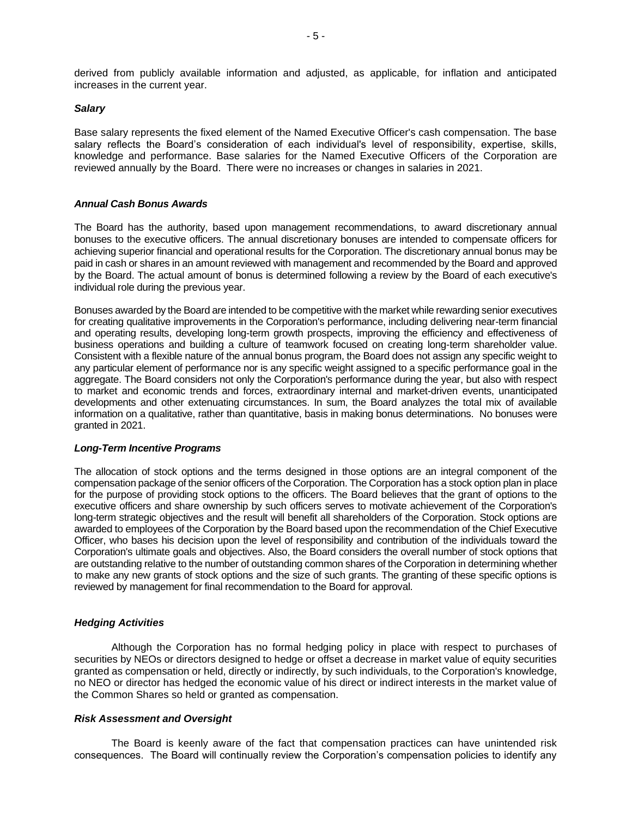derived from publicly available information and adjusted, as applicable, for inflation and anticipated increases in the current year.

## *Salary*

Base salary represents the fixed element of the Named Executive Officer's cash compensation. The base salary reflects the Board's consideration of each individual's level of responsibility, expertise, skills, knowledge and performance. Base salaries for the Named Executive Officers of the Corporation are reviewed annually by the Board. There were no increases or changes in salaries in 2021.

# *Annual Cash Bonus Awards*

The Board has the authority, based upon management recommendations, to award discretionary annual bonuses to the executive officers. The annual discretionary bonuses are intended to compensate officers for achieving superior financial and operational results for the Corporation. The discretionary annual bonus may be paid in cash or shares in an amount reviewed with management and recommended by the Board and approved by the Board. The actual amount of bonus is determined following a review by the Board of each executive's individual role during the previous year.

Bonuses awarded by the Board are intended to be competitive with the market while rewarding senior executives for creating qualitative improvements in the Corporation's performance, including delivering near-term financial and operating results, developing long-term growth prospects, improving the efficiency and effectiveness of business operations and building a culture of teamwork focused on creating long-term shareholder value. Consistent with a flexible nature of the annual bonus program, the Board does not assign any specific weight to any particular element of performance nor is any specific weight assigned to a specific performance goal in the aggregate. The Board considers not only the Corporation's performance during the year, but also with respect to market and economic trends and forces, extraordinary internal and market-driven events, unanticipated developments and other extenuating circumstances. In sum, the Board analyzes the total mix of available information on a qualitative, rather than quantitative, basis in making bonus determinations. No bonuses were granted in 2021.

#### *Long-Term Incentive Programs*

The allocation of stock options and the terms designed in those options are an integral component of the compensation package of the senior officers of the Corporation. The Corporation has a stock option plan in place for the purpose of providing stock options to the officers. The Board believes that the grant of options to the executive officers and share ownership by such officers serves to motivate achievement of the Corporation's long-term strategic objectives and the result will benefit all shareholders of the Corporation. Stock options are awarded to employees of the Corporation by the Board based upon the recommendation of the Chief Executive Officer, who bases his decision upon the level of responsibility and contribution of the individuals toward the Corporation's ultimate goals and objectives. Also, the Board considers the overall number of stock options that are outstanding relative to the number of outstanding common shares of the Corporation in determining whether to make any new grants of stock options and the size of such grants. The granting of these specific options is reviewed by management for final recommendation to the Board for approval.

#### *Hedging Activities*

Although the Corporation has no formal hedging policy in place with respect to purchases of securities by NEOs or directors designed to hedge or offset a decrease in market value of equity securities granted as compensation or held, directly or indirectly, by such individuals, to the Corporation's knowledge, no NEO or director has hedged the economic value of his direct or indirect interests in the market value of the Common Shares so held or granted as compensation.

#### *Risk Assessment and Oversight*

The Board is keenly aware of the fact that compensation practices can have unintended risk consequences. The Board will continually review the Corporation's compensation policies to identify any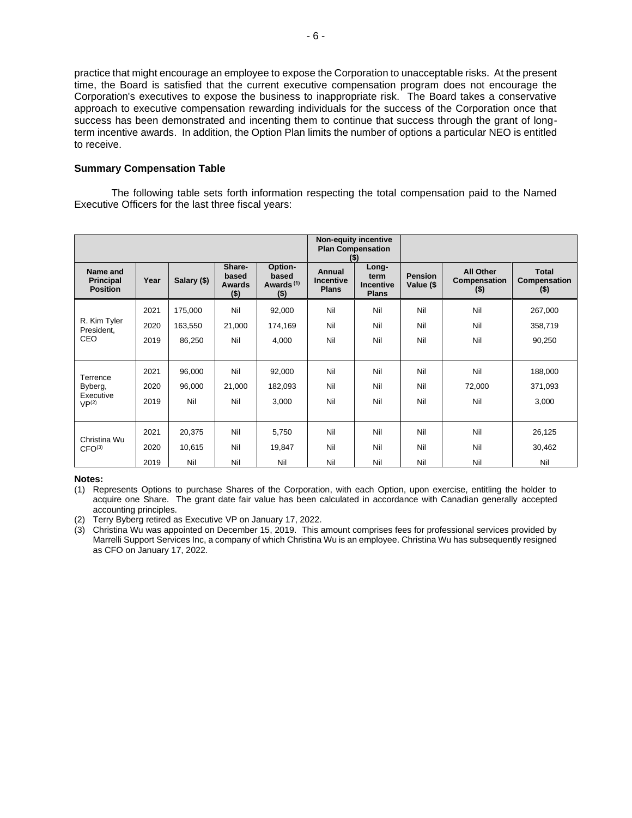practice that might encourage an employee to expose the Corporation to unacceptable risks. At the present time, the Board is satisfied that the current executive compensation program does not encourage the Corporation's executives to expose the business to inappropriate risk. The Board takes a conservative approach to executive compensation rewarding individuals for the success of the Corporation once that success has been demonstrated and incenting them to continue that success through the grant of longterm incentive awards. In addition, the Option Plan limits the number of options a particular NEO is entitled to receive.

# **Summary Compensation Table**

The following table sets forth information respecting the total compensation paid to the Named Executive Officers for the last three fiscal years:

|                                                 |      |             |                                      |                                                      |                                     | <b>Non-equity incentive</b><br><b>Plan Compensation</b><br>$($ \$) |                             |                                                    |                                         |
|-------------------------------------------------|------|-------------|--------------------------------------|------------------------------------------------------|-------------------------------------|--------------------------------------------------------------------|-----------------------------|----------------------------------------------------|-----------------------------------------|
| Name and<br><b>Principal</b><br><b>Position</b> | Year | Salary (\$) | Share-<br>based<br>Awards<br>$($ \$) | Option-<br>based<br>Awards <sup>(1)</sup><br>$($ \$) | Annual<br>Incentive<br><b>Plans</b> | Long-<br>term<br>Incentive<br><b>Plans</b>                         | <b>Pension</b><br>Value (\$ | <b>All Other</b><br><b>Compensation</b><br>$($ \$) | <b>Total</b><br>Compensation<br>$($ \$) |
|                                                 | 2021 | 175,000     | Nil                                  | 92,000                                               | Nil                                 | Nil                                                                | Nil                         | Nil                                                | 267,000                                 |
| R. Kim Tyler<br>President,                      | 2020 | 163,550     | 21,000                               | 174,169                                              | Nil                                 | Nil                                                                | Nil                         | Nil                                                | 358,719                                 |
| CEO                                             | 2019 | 86,250      | Nil                                  | 4,000                                                | Nil                                 | Nil                                                                | Nil                         | Nil                                                | 90,250                                  |
|                                                 |      |             |                                      |                                                      |                                     |                                                                    |                             |                                                    |                                         |
| Terrence                                        | 2021 | 96,000      | Nil                                  | 92,000                                               | Nil                                 | Nil                                                                | Nil                         | Nil                                                | 188,000                                 |
| Byberg,                                         | 2020 | 96,000      | 21,000                               | 182,093                                              | Nil                                 | Nil                                                                | Nil                         | 72,000                                             | 371,093                                 |
| Executive<br>VP <sup>(2)</sup>                  | 2019 | Nil         | Nil                                  | 3,000                                                | Nil                                 | Nil                                                                | Nil                         | Nil                                                | 3,000                                   |
|                                                 |      |             |                                      |                                                      |                                     |                                                                    |                             |                                                    |                                         |
|                                                 | 2021 | 20,375      | Nil                                  | 5,750                                                | Nil                                 | Nil                                                                | Nil                         | Nil                                                | 26,125                                  |
| Christina Wu<br>CFO <sup>(3)</sup>              | 2020 | 10,615      | Nil                                  | 19,847                                               | Nil                                 | Nil                                                                | Nil                         | Nil                                                | 30,462                                  |
|                                                 | 2019 | Nil         | Nil                                  | Nil                                                  | Nil                                 | Nil                                                                | Nil                         | Nil                                                | Nil                                     |

#### **Notes:**

<sup>(1)</sup> Represents Options to purchase Shares of the Corporation, with each Option, upon exercise, entitling the holder to acquire one Share. The grant date fair value has been calculated in accordance with Canadian generally accepted accounting principles.

<sup>(2)</sup> Terry Byberg retired as Executive VP on January 17, 2022.

<sup>(3)</sup> Christina Wu was appointed on December 15, 2019. This amount comprises fees for professional services provided by Marrelli Support Services Inc, a company of which Christina Wu is an employee. Christina Wu has subsequently resigned as CFO on January 17, 2022.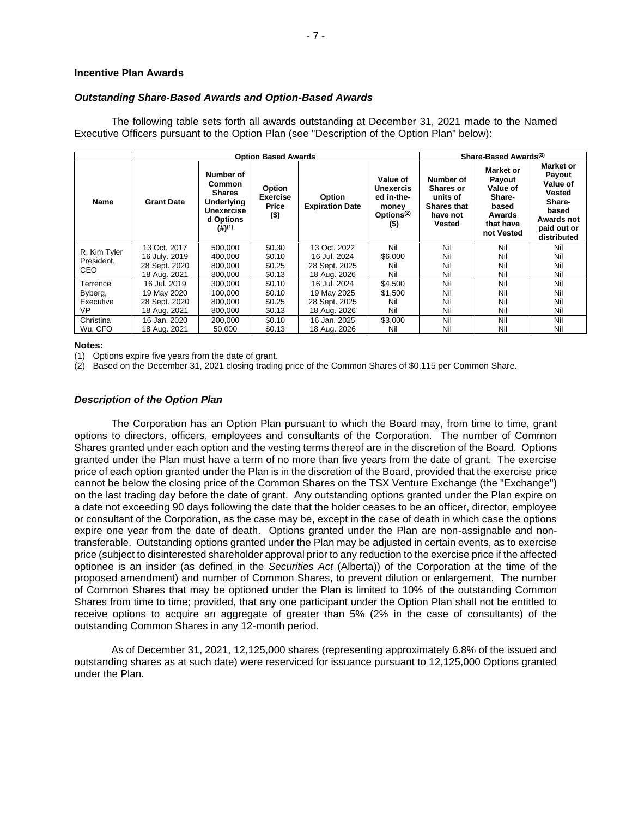#### **Incentive Plan Awards**

# *Outstanding Share-Based Awards and Option-Based Awards*

The following table sets forth all awards outstanding at December 31, 2021 made to the Named Executive Officers pursuant to the Option Plan (see "Description of the Option Plan" below):

|              | <b>Option Based Awards</b>     |                                                                                                       |                                               |                                  |                                                                                         |                                                                                       | Share-Based Awards <sup>(3)</sup>                                                              |                                                                                                                 |  |
|--------------|--------------------------------|-------------------------------------------------------------------------------------------------------|-----------------------------------------------|----------------------------------|-----------------------------------------------------------------------------------------|---------------------------------------------------------------------------------------|------------------------------------------------------------------------------------------------|-----------------------------------------------------------------------------------------------------------------|--|
| <b>Name</b>  | <b>Grant Date</b>              | Number of<br>Common<br><b>Shares</b><br>Underlying<br>Unexercise<br>d Options<br>$(4)$ <sup>(1)</sup> | Option<br><b>Exercise</b><br>Price<br>$($ \$) | Option<br><b>Expiration Date</b> | Value of<br><b>Unexercis</b><br>ed in-the-<br>money<br>Options <sup>(2)</sup><br>$($ \$ | Number of<br><b>Shares or</b><br>units of<br><b>Shares that</b><br>have not<br>Vested | <b>Market or</b><br>Payout<br>Value of<br>Share-<br>based<br>Awards<br>that have<br>not Vested | <b>Market or</b><br>Payout<br>Value of<br>Vested<br>Share-<br>based<br>Awards not<br>paid out or<br>distributed |  |
| R. Kim Tyler | 13 Oct. 2017                   | 500.000                                                                                               | \$0.30                                        | 13 Oct. 2022                     | Nil                                                                                     | Nil                                                                                   | Nil                                                                                            | Nil                                                                                                             |  |
| President,   | 16 July. 2019<br>28 Sept. 2020 | 400,000<br>800.000                                                                                    | \$0.10<br>\$0.25                              | 16 Jul. 2024<br>28 Sept. 2025    | \$6,000<br>Nil                                                                          | Nil<br>Nil                                                                            | Nil<br>Nil                                                                                     | Nil<br>Nil                                                                                                      |  |
| <b>CEO</b>   | 18 Aug. 2021                   | 800,000                                                                                               | \$0.13                                        | 18 Aug. 2026                     | Nil                                                                                     | Nil                                                                                   | Nil                                                                                            | Nil                                                                                                             |  |
| Terrence     | 16 Jul. 2019                   | 300.000                                                                                               | \$0.10                                        | 16 Jul. 2024                     | \$4,500                                                                                 | Nil                                                                                   | Nil                                                                                            | Nil                                                                                                             |  |
| Byberg,      | 19 May 2020                    | 100.000                                                                                               | \$0.10                                        | 19 May 2025                      | \$1,500                                                                                 | Nil                                                                                   | Nil                                                                                            | Nil                                                                                                             |  |
| Executive    | 28 Sept. 2020                  | 800,000                                                                                               | \$0.25                                        | 28 Sept. 2025                    | Nil                                                                                     | Nil                                                                                   | Nil                                                                                            | Nil                                                                                                             |  |
| VP           | 18 Aug. 2021                   | 800,000                                                                                               | \$0.13                                        | 18 Aug. 2026                     | Nil                                                                                     | Nil                                                                                   | Nil                                                                                            | Nil                                                                                                             |  |
| Christina    | 16 Jan. 2020                   | 200,000                                                                                               | \$0.10                                        | 16 Jan. 2025                     | \$3,000                                                                                 | Nil                                                                                   | Nil                                                                                            | Nil                                                                                                             |  |
| Wu, CFO      | 18 Aug. 2021                   | 50,000                                                                                                | \$0.13                                        | 18 Aug. 2026                     | Nil                                                                                     | Nil                                                                                   | Nil                                                                                            | Nil                                                                                                             |  |

#### **Notes:**

(1) Options expire five years from the date of grant.

(2) Based on the December 31, 2021 closing trading price of the Common Shares of \$0.115 per Common Share.

#### *Description of the Option Plan*

The Corporation has an Option Plan pursuant to which the Board may, from time to time, grant options to directors, officers, employees and consultants of the Corporation. The number of Common Shares granted under each option and the vesting terms thereof are in the discretion of the Board. Options granted under the Plan must have a term of no more than five years from the date of grant. The exercise price of each option granted under the Plan is in the discretion of the Board, provided that the exercise price cannot be below the closing price of the Common Shares on the TSX Venture Exchange (the "Exchange") on the last trading day before the date of grant. Any outstanding options granted under the Plan expire on a date not exceeding 90 days following the date that the holder ceases to be an officer, director, employee or consultant of the Corporation, as the case may be, except in the case of death in which case the options expire one year from the date of death. Options granted under the Plan are non-assignable and nontransferable. Outstanding options granted under the Plan may be adjusted in certain events, as to exercise price (subject to disinterested shareholder approval prior to any reduction to the exercise price if the affected optionee is an insider (as defined in the *Securities Act* (Alberta)) of the Corporation at the time of the proposed amendment) and number of Common Shares, to prevent dilution or enlargement. The number of Common Shares that may be optioned under the Plan is limited to 10% of the outstanding Common Shares from time to time; provided, that any one participant under the Option Plan shall not be entitled to receive options to acquire an aggregate of greater than 5% (2% in the case of consultants) of the outstanding Common Shares in any 12-month period.

As of December 31, 2021, 12,125,000 shares (representing approximately 6.8% of the issued and outstanding shares as at such date) were reserviced for issuance pursuant to 12,125,000 Options granted under the Plan.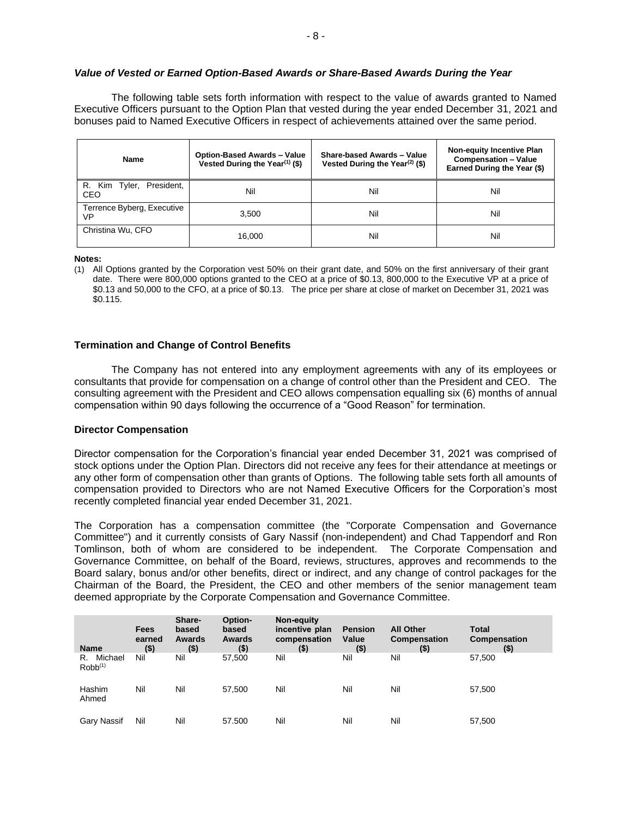# *Value of Vested or Earned Option-Based Awards or Share-Based Awards During the Year*

The following table sets forth information with respect to the value of awards granted to Named Executive Officers pursuant to the Option Plan that vested during the year ended December 31, 2021 and bonuses paid to Named Executive Officers in respect of achievements attained over the same period.

| <b>Name</b>                      | <b>Option-Based Awards - Value</b><br>Vested During the Year <sup>(1)</sup> (\$) | Share-based Awards - Value<br>Vested During the Year <sup>(2)</sup> (\$) | <b>Non-equity Incentive Plan</b><br><b>Compensation - Value</b><br>Earned During the Year (\$) |
|----------------------------------|----------------------------------------------------------------------------------|--------------------------------------------------------------------------|------------------------------------------------------------------------------------------------|
| R. Kim Tyler, President,<br>CEO  | Nil                                                                              | Nil                                                                      | Nil                                                                                            |
| Terrence Byberg, Executive<br>VP | 3.500                                                                            | Nil                                                                      | Nil                                                                                            |
| Christina Wu, CFO                | 16.000                                                                           | Nil                                                                      | Nil                                                                                            |

**Notes:**

(1) All Options granted by the Corporation vest 50% on their grant date, and 50% on the first anniversary of their grant date. There were 800,000 options granted to the CEO at a price of \$0.13, 800,000 to the Executive VP at a price of \$0.13 and 50,000 to the CFO, at a price of \$0.13. The price per share at close of market on December 31, 2021 was \$0.115.

# **Termination and Change of Control Benefits**

The Company has not entered into any employment agreements with any of its employees or consultants that provide for compensation on a change of control other than the President and CEO. The consulting agreement with the President and CEO allows compensation equalling six (6) months of annual compensation within 90 days following the occurrence of a "Good Reason" for termination.

#### **Director Compensation**

Director compensation for the Corporation's financial year ended December 31, 2021 was comprised of stock options under the Option Plan. Directors did not receive any fees for their attendance at meetings or any other form of compensation other than grants of Options. The following table sets forth all amounts of compensation provided to Directors who are not Named Executive Officers for the Corporation's most recently completed financial year ended December 31, 2021.

The Corporation has a compensation committee (the "Corporate Compensation and Governance Committee") and it currently consists of Gary Nassif (non-independent) and Chad Tappendorf and Ron Tomlinson, both of whom are considered to be independent. The Corporate Compensation and Governance Committee, on behalf of the Board, reviews, structures, approves and recommends to the Board salary, bonus and/or other benefits, direct or indirect, and any change of control packages for the Chairman of the Board, the President, the CEO and other members of the senior management team deemed appropriate by the Corporate Compensation and Governance Committee.

| Name                          | <b>Fees</b><br>earned<br>$($ \$) | Share-<br>based<br>Awards<br>$($ \$) | Option-<br>based<br>Awards<br>$($ \$) | Non-equity<br>incentive plan<br>compensation<br>$($ \$) | <b>Pension</b><br>Value<br>$($ \$) | <b>All Other</b><br>Compensation<br>$($)$ | <b>Total</b><br><b>Compensation</b><br>$($ \$) |
|-------------------------------|----------------------------------|--------------------------------------|---------------------------------------|---------------------------------------------------------|------------------------------------|-------------------------------------------|------------------------------------------------|
| Michael<br>R.<br>$Robb^{(1)}$ | Nil                              | Nil                                  | 57,500                                | Nil                                                     | Nil                                | Nil                                       | 57,500                                         |
| Hashim<br>Ahmed               | Nil                              | Nil                                  | 57.500                                | Nil                                                     | Nil                                | Nil                                       | 57,500                                         |
| Gary Nassif                   | Nil                              | Nil                                  | 57.500                                | Nil                                                     | Nil                                | Nil                                       | 57.500                                         |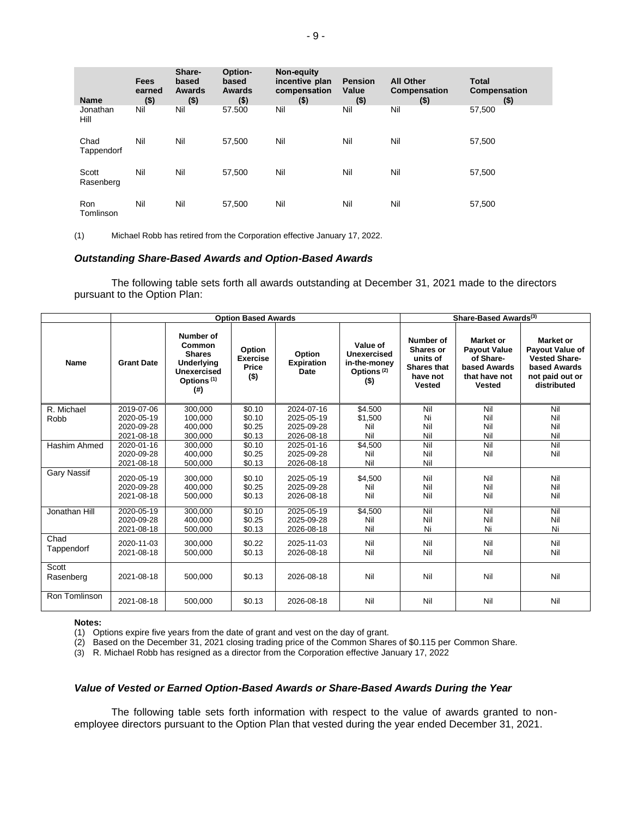| <b>Name</b>        | <b>Fees</b><br>earned<br>$($ \$) | Share-<br>based<br><b>Awards</b><br>$($ \$) | Option-<br>based<br><b>Awards</b><br>$($ \$) | Non-equity<br>incentive plan<br>compensation<br>$($ \$) | <b>Pension</b><br>Value<br>$($ \$) | <b>All Other</b><br><b>Compensation</b><br>$($ \$) | <b>Total</b><br><b>Compensation</b><br>$($ \$) |
|--------------------|----------------------------------|---------------------------------------------|----------------------------------------------|---------------------------------------------------------|------------------------------------|----------------------------------------------------|------------------------------------------------|
| Jonathan<br>Hill   | Nil                              | Nil                                         | 57.500                                       | Nil                                                     | Nil                                | Nil                                                | 57,500                                         |
| Chad<br>Tappendorf | Nil                              | Nil                                         | 57.500                                       | Nil                                                     | Nil                                | Nil                                                | 57,500                                         |
| Scott<br>Rasenberg | Nil                              | Nil                                         | 57,500                                       | Nil                                                     | Nil                                | Nil                                                | 57,500                                         |
| Ron<br>Tomlinson   | Nil                              | Nil                                         | 57,500                                       | Nil                                                     | Nil                                | Nil                                                | 57,500                                         |

(1) Michael Robb has retired from the Corporation effective January 17, 2022.

# *Outstanding Share-Based Awards and Option-Based Awards*

The following table sets forth all awards outstanding at December 31, 2021 made to the directors pursuant to the Option Plan:

|                    | <b>Option Based Awards</b>             |                                                                                                           |                                                             |                                        |                                                                              |                                                                                       | Share-Based Awards <sup>(3)</sup>                                                               |                                                                                                               |  |
|--------------------|----------------------------------------|-----------------------------------------------------------------------------------------------------------|-------------------------------------------------------------|----------------------------------------|------------------------------------------------------------------------------|---------------------------------------------------------------------------------------|-------------------------------------------------------------------------------------------------|---------------------------------------------------------------------------------------------------------------|--|
| <b>Name</b>        | <b>Grant Date</b>                      | Number of<br>Common<br><b>Shares</b><br>Underlying<br><b>Unexercised</b><br>Options <sup>(1)</sup><br>(#) | <b>Option</b><br><b>Exercise</b><br><b>Price</b><br>$($ \$) | Option<br><b>Expiration</b><br>Date    | Value of<br>Unexercised<br>in-the-monev<br>Options <sup>(2)</sup><br>$($ \$) | Number of<br>Shares or<br>units of<br><b>Shares that</b><br>have not<br><b>Vested</b> | Market or<br><b>Pavout Value</b><br>of Share-<br>based Awards<br>that have not<br><b>Vested</b> | <b>Market or</b><br>Payout Value of<br><b>Vested Share-</b><br>based Awards<br>not paid out or<br>distributed |  |
| R. Michael         | 2019-07-06                             | 300.000                                                                                                   | \$0.10                                                      | 2024-07-16                             | \$4.500                                                                      | Nil                                                                                   | Nil                                                                                             | Nil                                                                                                           |  |
| Robb               | 2020-05-19                             | 100,000                                                                                                   | \$0.10                                                      | 2025-05-19                             | \$1,500                                                                      | Ni                                                                                    | Nil                                                                                             | Nil                                                                                                           |  |
|                    | 2020-09-28                             | 400,000                                                                                                   | \$0.25                                                      | 2025-09-28                             | Nil                                                                          | Nil                                                                                   | Nil                                                                                             | Nil                                                                                                           |  |
|                    | 2021-08-18                             | 300,000                                                                                                   | \$0.13                                                      | 2026-08-18                             | Nil                                                                          | Nil                                                                                   | Nil                                                                                             | Nil                                                                                                           |  |
| Hashim Ahmed       | 2020-01-16                             | 300.000                                                                                                   | \$0.10                                                      | 2025-01-16                             | \$4,500                                                                      | Nil                                                                                   | Nil                                                                                             | Nil                                                                                                           |  |
|                    | 2020-09-28                             | 400.000                                                                                                   | \$0.25                                                      | 2025-09-28                             | Nil                                                                          | Nil                                                                                   | Nil                                                                                             | Nil                                                                                                           |  |
|                    | 2021-08-18                             | 500,000                                                                                                   | \$0.13                                                      | 2026-08-18                             | Nil                                                                          | Nil                                                                                   |                                                                                                 |                                                                                                               |  |
| Gary Nassif        | 2020-05-19<br>2020-09-28<br>2021-08-18 | 300.000<br>400.000<br>500,000                                                                             | \$0.10<br>\$0.25<br>\$0.13                                  | 2025-05-19<br>2025-09-28<br>2026-08-18 | \$4,500<br>Nil<br>Nil                                                        | Nil<br>Nil<br>Nil                                                                     | Nil<br>Nil<br>Nil                                                                               | Nil<br>Nil<br>Nil                                                                                             |  |
| Jonathan Hill      | 2020-05-19                             | 300,000                                                                                                   | \$0.10                                                      | 2025-05-19                             | \$4,500                                                                      | Nil                                                                                   | Nil                                                                                             | Nil                                                                                                           |  |
|                    | 2020-09-28                             | 400.000                                                                                                   | \$0.25                                                      | 2025-09-28                             | Nil                                                                          | Nil                                                                                   | Nil                                                                                             | Nil                                                                                                           |  |
|                    | 2021-08-18                             | 500,000                                                                                                   | \$0.13                                                      | 2026-08-18                             | Nil                                                                          | Ni                                                                                    | Ni                                                                                              | Ni                                                                                                            |  |
| Chad<br>Tappendorf | 2020-11-03<br>2021-08-18               | 300,000<br>500,000                                                                                        | \$0.22<br>\$0.13                                            | 2025-11-03<br>2026-08-18               | Nil<br>Nil                                                                   | Nil<br>Nil                                                                            | Nil<br>Nil                                                                                      | Nil<br>Nil                                                                                                    |  |
| Scott<br>Rasenberg | 2021-08-18                             | 500,000                                                                                                   | \$0.13                                                      | 2026-08-18                             | Nil                                                                          | Nil                                                                                   | Nil                                                                                             | Nil                                                                                                           |  |
| Ron Tomlinson      | 2021-08-18                             | 500.000                                                                                                   | \$0.13                                                      | 2026-08-18                             | Nil                                                                          | Nil                                                                                   | Nil                                                                                             | Nil                                                                                                           |  |

#### **Notes:**

(1) Options expire five years from the date of grant and vest on the day of grant.

(2) Based on the December 31, 2021 closing trading price of the Common Shares of \$0.115 per Common Share.

(3) R. Michael Robb has resigned as a director from the Corporation effective January 17, 2022

# *Value of Vested or Earned Option-Based Awards or Share-Based Awards During the Year*

The following table sets forth information with respect to the value of awards granted to nonemployee directors pursuant to the Option Plan that vested during the year ended December 31, 2021.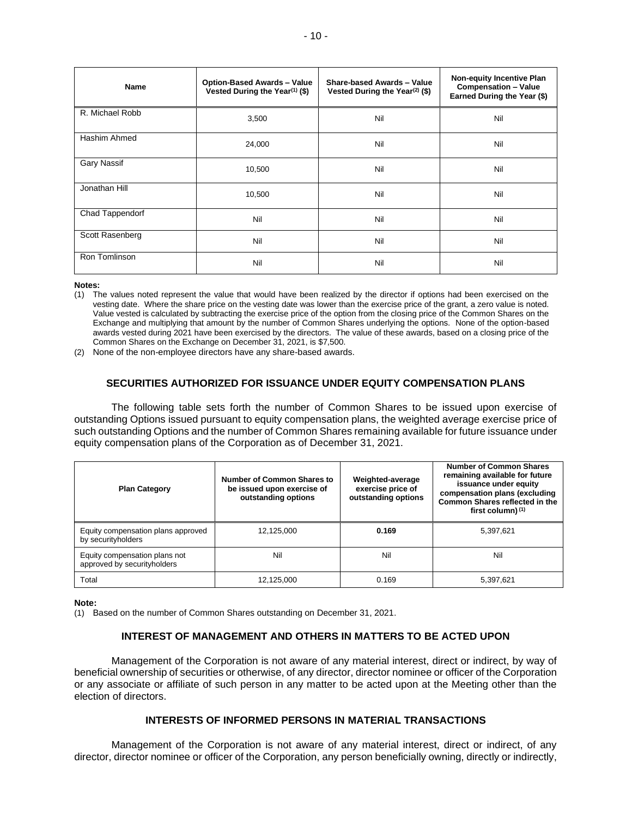| Name            | <b>Option-Based Awards - Value</b><br>Vested During the Year <sup>(1)</sup> (\$) | Share-based Awards - Value<br>Vested During the Year <sup>(2)</sup> (\$) | <b>Non-equity Incentive Plan</b><br><b>Compensation - Value</b><br>Earned During the Year (\$) |
|-----------------|----------------------------------------------------------------------------------|--------------------------------------------------------------------------|------------------------------------------------------------------------------------------------|
| R. Michael Robb | 3,500                                                                            | Nil                                                                      | Nil                                                                                            |
| Hashim Ahmed    | 24,000                                                                           | Nil                                                                      | Nil                                                                                            |
| Gary Nassif     | 10,500                                                                           | Nil                                                                      | Nil                                                                                            |
| Jonathan Hill   | 10,500                                                                           | Nil                                                                      | Nil                                                                                            |
| Chad Tappendorf | Nil                                                                              | Nil                                                                      | Nil                                                                                            |
| Scott Rasenberg | Nil                                                                              | Nil                                                                      | Nil                                                                                            |
| Ron Tomlinson   | Nil                                                                              | Nil                                                                      | Nil                                                                                            |

**Notes:**

(1) The values noted represent the value that would have been realized by the director if options had been exercised on the vesting date. Where the share price on the vesting date was lower than the exercise price of the grant, a zero value is noted. Value vested is calculated by subtracting the exercise price of the option from the closing price of the Common Shares on the Exchange and multiplying that amount by the number of Common Shares underlying the options. None of the option-based awards vested during 2021 have been exercised by the directors. The value of these awards, based on a closing price of the Common Shares on the Exchange on December 31, 2021, is \$7,500.

(2) None of the non-employee directors have any share-based awards.

# **SECURITIES AUTHORIZED FOR ISSUANCE UNDER EQUITY COMPENSATION PLANS**

The following table sets forth the number of Common Shares to be issued upon exercise of outstanding Options issued pursuant to equity compensation plans, the weighted average exercise price of such outstanding Options and the number of Common Shares remaining available for future issuance under equity compensation plans of the Corporation as of December 31, 2021.

| <b>Plan Category</b>                                         | Number of Common Shares to<br>be issued upon exercise of<br>outstanding options | Weighted-average<br>exercise price of<br>outstanding options | <b>Number of Common Shares</b><br>remaining available for future<br>issuance under equity<br>compensation plans (excluding<br><b>Common Shares reflected in the</b><br>first column) $(1)$ |  |
|--------------------------------------------------------------|---------------------------------------------------------------------------------|--------------------------------------------------------------|--------------------------------------------------------------------------------------------------------------------------------------------------------------------------------------------|--|
| Equity compensation plans approved<br>by securityholders     | 12,125,000                                                                      | 0.169                                                        | 5,397,621                                                                                                                                                                                  |  |
| Equity compensation plans not<br>approved by securityholders | Nil                                                                             | Nil                                                          | Nil                                                                                                                                                                                        |  |
| Total                                                        | 12,125,000                                                                      | 0.169                                                        | 5,397,621                                                                                                                                                                                  |  |

**Note:**

(1) Based on the number of Common Shares outstanding on December 31, 2021.

# **INTEREST OF MANAGEMENT AND OTHERS IN MATTERS TO BE ACTED UPON**

Management of the Corporation is not aware of any material interest, direct or indirect, by way of beneficial ownership of securities or otherwise, of any director, director nominee or officer of the Corporation or any associate or affiliate of such person in any matter to be acted upon at the Meeting other than the election of directors.

# **INTERESTS OF INFORMED PERSONS IN MATERIAL TRANSACTIONS**

Management of the Corporation is not aware of any material interest, direct or indirect, of any director, director nominee or officer of the Corporation, any person beneficially owning, directly or indirectly,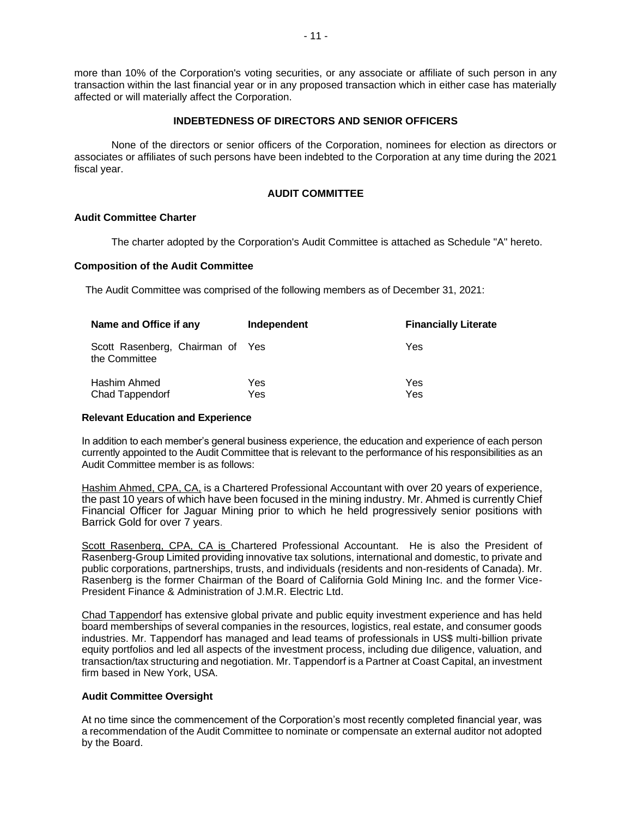more than 10% of the Corporation's voting securities, or any associate or affiliate of such person in any transaction within the last financial year or in any proposed transaction which in either case has materially affected or will materially affect the Corporation.

# **INDEBTEDNESS OF DIRECTORS AND SENIOR OFFICERS**

None of the directors or senior officers of the Corporation, nominees for election as directors or associates or affiliates of such persons have been indebted to the Corporation at any time during the 2021 fiscal year.

# **AUDIT COMMITTEE**

# **Audit Committee Charter**

The charter adopted by the Corporation's Audit Committee is attached as Schedule "A" hereto.

# **Composition of the Audit Committee**

The Audit Committee was comprised of the following members as of December 31, 2021:

| Name and Office if any                            | Independent | <b>Financially Literate</b> |  |
|---------------------------------------------------|-------------|-----------------------------|--|
| Scott Rasenberg, Chairman of Yes<br>the Committee |             | Yes                         |  |
| Hashim Ahmed<br><b>Chad Tappendorf</b>            | Yes<br>Yes  | Yes<br>Yes                  |  |

#### **Relevant Education and Experience**

In addition to each member's general business experience, the education and experience of each person currently appointed to the Audit Committee that is relevant to the performance of his responsibilities as an Audit Committee member is as follows:

Hashim Ahmed, CPA, CA, is a Chartered Professional Accountant with over 20 years of experience, the past 10 years of which have been focused in the mining industry. Mr. Ahmed is currently Chief Financial Officer for Jaguar Mining prior to which he held progressively senior positions with Barrick Gold for over 7 years.

Scott Rasenberg, CPA, CA is Chartered Professional Accountant. He is also the President of Rasenberg-Group Limited providing innovative tax solutions, international and domestic, to private and public corporations, partnerships, trusts, and individuals (residents and non-residents of Canada). Mr. Rasenberg is the former Chairman of the Board of California Gold Mining Inc. and the former Vice-President Finance & Administration of J.M.R. Electric Ltd.

Chad Tappendorf has extensive global private and public equity investment experience and has held board memberships of several companies in the resources, logistics, real estate, and consumer goods industries. Mr. Tappendorf has managed and lead teams of professionals in US\$ multi-billion private equity portfolios and led all aspects of the investment process, including due diligence, valuation, and transaction/tax structuring and negotiation. Mr. Tappendorf is a Partner at Coast Capital, an investment firm based in New York, USA.

# **Audit Committee Oversight**

At no time since the commencement of the Corporation's most recently completed financial year, was a recommendation of the Audit Committee to nominate or compensate an external auditor not adopted by the Board.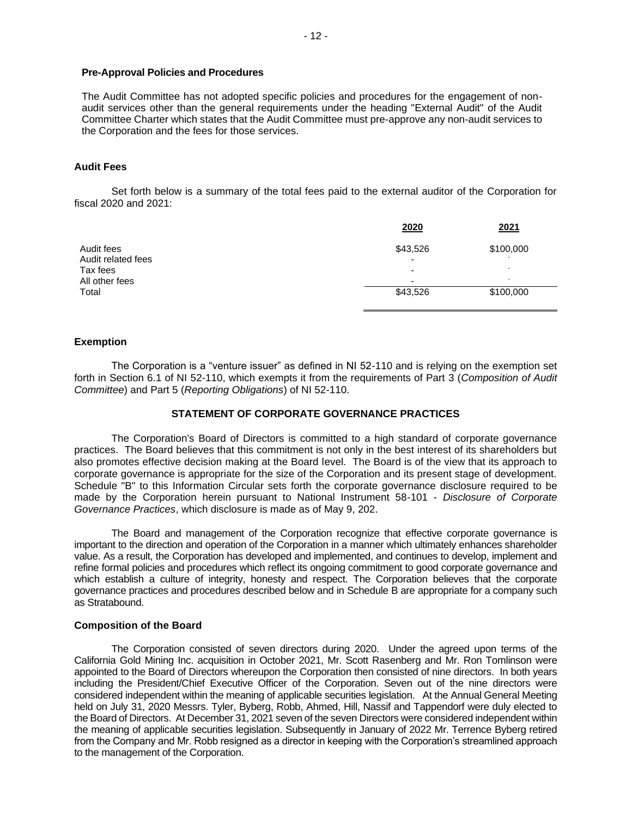# **Pre-Approval Policies and Procedures**

The Audit Committee has not adopted specific policies and procedures for the engagement of nonaudit services other than the general requirements under the heading "External Audit" of the Audit Committee Charter which states that the Audit Committee must pre-approve any non-audit services to the Corporation and the fees for those services.

# **Audit Fees**

Set forth below is a summary of the total fees paid to the external auditor of the Corporation for fiscal 2020 and 2021:

|                                  | 2020                                 | 2021                     |
|----------------------------------|--------------------------------------|--------------------------|
| Audit fees<br>Audit related fees | \$43,526<br>$\overline{\phantom{0}}$ | \$100,000                |
| Tax fees                         | $\overline{\phantom{0}}$             | -                        |
| All other fees                   | $\overline{\phantom{0}}$             | $\overline{\phantom{a}}$ |
| Total                            | \$43,526                             | \$100,000                |

#### **Exemption**

The Corporation is a "venture issuer" as defined in NI 52-110 and is relying on the exemption set forth in Section 6.1 of NI 52-110, which exempts it from the requirements of Part 3 (*Composition of Audit Committee*) and Part 5 (*Reporting Obligations*) of NI 52-110.

#### **STATEMENT OF CORPORATE GOVERNANCE PRACTICES**

The Corporation's Board of Directors is committed to a high standard of corporate governance practices. The Board believes that this commitment is not only in the best interest of its shareholders but also promotes effective decision making at the Board level. The Board is of the view that its approach to corporate governance is appropriate for the size of the Corporation and its present stage of development. Schedule "B" to this Information Circular sets forth the corporate governance disclosure required to be made by the Corporation herein pursuant to National Instrument 58-101 - *Disclosure of Corporate Governance Practices*, which disclosure is made as of May 9, 202.

The Board and management of the Corporation recognize that effective corporate governance is important to the direction and operation of the Corporation in a manner which ultimately enhances shareholder value. As a result, the Corporation has developed and implemented, and continues to develop, implement and refine formal policies and procedures which reflect its ongoing commitment to good corporate governance and which establish a culture of integrity, honesty and respect. The Corporation believes that the corporate governance practices and procedures described below and in Schedule B are appropriate for a company such as Stratabound.

#### **Composition of the Board**

The Corporation consisted of seven directors during 2020. Under the agreed upon terms of the California Gold Mining Inc. acquisition in October 2021, Mr. Scott Rasenberg and Mr. Ron Tomlinson were appointed to the Board of Directors whereupon the Corporation then consisted of nine directors. In both years including the President/Chief Executive Officer of the Corporation. Seven out of the nine directors were considered independent within the meaning of applicable securities legislation. At the Annual General Meeting held on July 31, 2020 Messrs. Tyler, Byberg, Robb, Ahmed, Hill, Nassif and Tappendorf were duly elected to the Board of Directors. At December 31, 2021 seven of the seven Directors were considered independent within the meaning of applicable securities legislation. Subsequently in January of 2022 Mr. Terrence Byberg retired from the Company and Mr. Robb resigned as a director in keeping with the Corporation's streamlined approach to the management of the Corporation.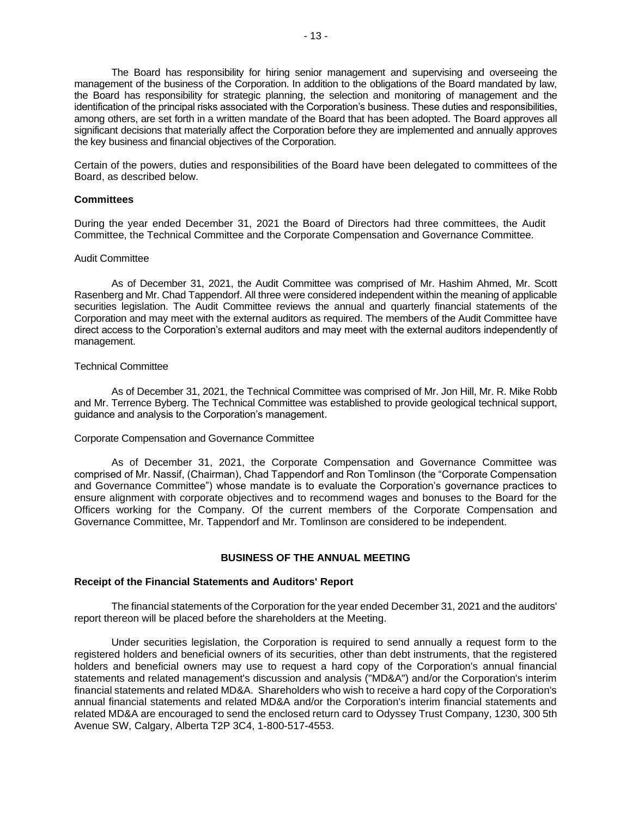The Board has responsibility for hiring senior management and supervising and overseeing the management of the business of the Corporation. In addition to the obligations of the Board mandated by law, the Board has responsibility for strategic planning, the selection and monitoring of management and the identification of the principal risks associated with the Corporation's business. These duties and responsibilities, among others, are set forth in a written mandate of the Board that has been adopted. The Board approves all significant decisions that materially affect the Corporation before they are implemented and annually approves the key business and financial objectives of the Corporation.

Certain of the powers, duties and responsibilities of the Board have been delegated to committees of the Board, as described below.

#### **Committees**

During the year ended December 31, 2021 the Board of Directors had three committees, the Audit Committee, the Technical Committee and the Corporate Compensation and Governance Committee.

#### Audit Committee

As of December 31, 2021, the Audit Committee was comprised of Mr. Hashim Ahmed, Mr. Scott Rasenberg and Mr. Chad Tappendorf. All three were considered independent within the meaning of applicable securities legislation. The Audit Committee reviews the annual and quarterly financial statements of the Corporation and may meet with the external auditors as required. The members of the Audit Committee have direct access to the Corporation's external auditors and may meet with the external auditors independently of management.

#### Technical Committee

As of December 31, 2021, the Technical Committee was comprised of Mr. Jon Hill, Mr. R. Mike Robb and Mr. Terrence Byberg. The Technical Committee was established to provide geological technical support, guidance and analysis to the Corporation's management.

# Corporate Compensation and Governance Committee

As of December 31, 2021, the Corporate Compensation and Governance Committee was comprised of Mr. Nassif, (Chairman), Chad Tappendorf and Ron Tomlinson (the "Corporate Compensation and Governance Committee") whose mandate is to evaluate the Corporation's governance practices to ensure alignment with corporate objectives and to recommend wages and bonuses to the Board for the Officers working for the Company. Of the current members of the Corporate Compensation and Governance Committee, Mr. Tappendorf and Mr. Tomlinson are considered to be independent.

#### **BUSINESS OF THE ANNUAL MEETING**

#### **Receipt of the Financial Statements and Auditors' Report**

The financial statements of the Corporation for the year ended December 31, 2021 and the auditors' report thereon will be placed before the shareholders at the Meeting.

Under securities legislation, the Corporation is required to send annually a request form to the registered holders and beneficial owners of its securities, other than debt instruments, that the registered holders and beneficial owners may use to request a hard copy of the Corporation's annual financial statements and related management's discussion and analysis ("MD&A") and/or the Corporation's interim financial statements and related MD&A. Shareholders who wish to receive a hard copy of the Corporation's annual financial statements and related MD&A and/or the Corporation's interim financial statements and related MD&A are encouraged to send the enclosed return card to Odyssey Trust Company, 1230, 300 5th Avenue SW, Calgary, Alberta T2P 3C4, 1-800-517-4553.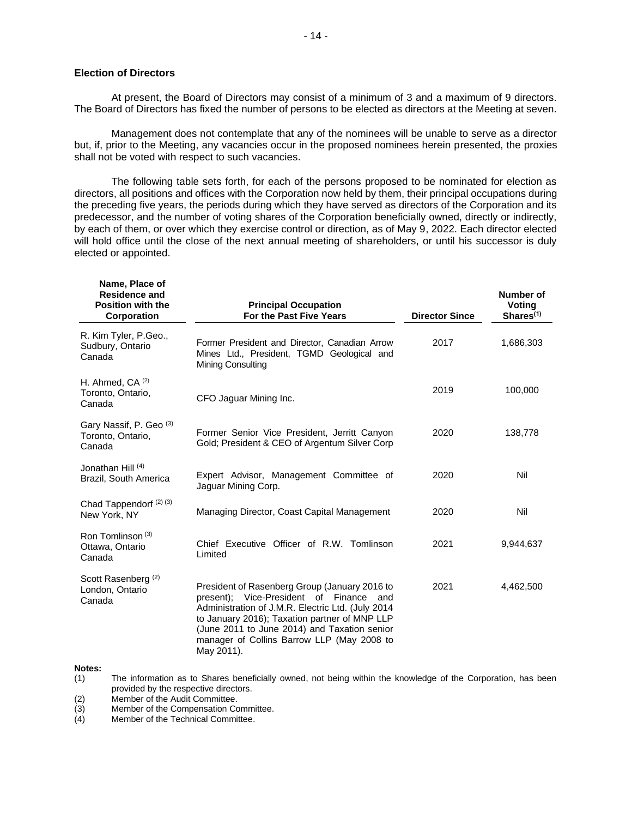#### **Election of Directors**

At present, the Board of Directors may consist of a minimum of 3 and a maximum of 9 directors. The Board of Directors has fixed the number of persons to be elected as directors at the Meeting at seven.

Management does not contemplate that any of the nominees will be unable to serve as a director but, if, prior to the Meeting, any vacancies occur in the proposed nominees herein presented, the proxies shall not be voted with respect to such vacancies.

The following table sets forth, for each of the persons proposed to be nominated for election as directors, all positions and offices with the Corporation now held by them, their principal occupations during the preceding five years, the periods during which they have served as directors of the Corporation and its predecessor, and the number of voting shares of the Corporation beneficially owned, directly or indirectly, by each of them, or over which they exercise control or direction, as of May 9, 2022. Each director elected will hold office until the close of the next annual meeting of shareholders, or until his successor is duly elected or appointed.

| Name, Place of<br><b>Residence and</b><br><b>Position with the</b><br>Corporation | <b>Principal Occupation</b><br>For the Past Five Years                                                                                                                                                                                                                                                        | <b>Director Since</b> | Number of<br>Voting<br>Shares <sup>(1)</sup> |
|-----------------------------------------------------------------------------------|---------------------------------------------------------------------------------------------------------------------------------------------------------------------------------------------------------------------------------------------------------------------------------------------------------------|-----------------------|----------------------------------------------|
| R. Kim Tyler, P.Geo.,<br>Sudbury, Ontario<br>Canada                               | Former President and Director, Canadian Arrow<br>Mines Ltd., President, TGMD Geological and<br>Mining Consulting                                                                                                                                                                                              | 2017                  | 1,686,303                                    |
| H. Ahmed, $CA^{(2)}$<br>Toronto, Ontario,<br>Canada                               | CFO Jaquar Mining Inc.                                                                                                                                                                                                                                                                                        | 2019                  | 100,000                                      |
| Gary Nassif, P. Geo <sup>(3)</sup><br>Toronto, Ontario,<br>Canada                 | Former Senior Vice President, Jerritt Canyon<br>Gold; President & CEO of Argentum Silver Corp                                                                                                                                                                                                                 | 2020                  | 138,778                                      |
| Jonathan Hill (4)<br>Brazil, South America                                        | Expert Advisor, Management Committee of<br>Jaquar Mining Corp.                                                                                                                                                                                                                                                | 2020                  | Nil                                          |
| Chad Tappendorf (2) (3)<br>New York, NY                                           | Managing Director, Coast Capital Management                                                                                                                                                                                                                                                                   | 2020                  | Nil                                          |
| Ron Tomlinson <sup>(3)</sup><br>Ottawa, Ontario<br>Canada                         | Chief Executive Officer of R.W. Tomlinson<br>Limited                                                                                                                                                                                                                                                          | 2021                  | 9,944,637                                    |
| Scott Rasenberg <sup>(2)</sup><br>London, Ontario<br>Canada                       | President of Rasenberg Group (January 2016 to<br>present); Vice-President of Finance<br>and<br>Administration of J.M.R. Electric Ltd. (July 2014<br>to January 2016); Taxation partner of MNP LLP<br>(June 2011 to June 2014) and Taxation senior<br>manager of Collins Barrow LLP (May 2008 to<br>May 2011). | 2021                  | 4,462,500                                    |

#### **Notes:**

(1) The information as to Shares beneficially owned, not being within the knowledge of the Corporation, has been provided by the respective directors.

(2) Member of the Audit Committee.<br>
(3) Member of the Compensation Co<br>
(4) Member of the Technical Commit Member of the Compensation Committee.

Member of the Technical Committee.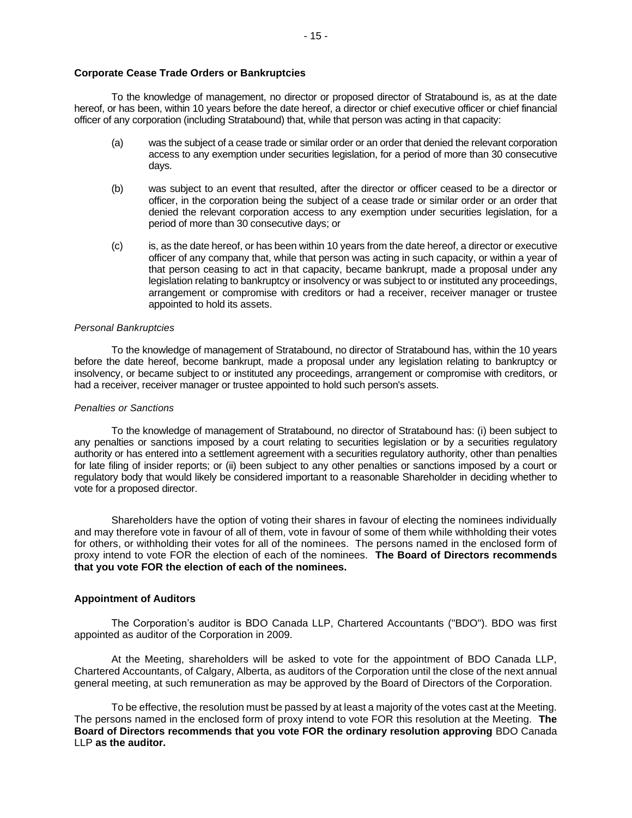To the knowledge of management, no director or proposed director of Stratabound is, as at the date hereof, or has been, within 10 years before the date hereof, a director or chief executive officer or chief financial officer of any corporation (including Stratabound) that, while that person was acting in that capacity:

- (a) was the subject of a cease trade or similar order or an order that denied the relevant corporation access to any exemption under securities legislation, for a period of more than 30 consecutive days.
- (b) was subject to an event that resulted, after the director or officer ceased to be a director or officer, in the corporation being the subject of a cease trade or similar order or an order that denied the relevant corporation access to any exemption under securities legislation, for a period of more than 30 consecutive days; or
- (c) is, as the date hereof, or has been within 10 years from the date hereof, a director or executive officer of any company that, while that person was acting in such capacity, or within a year of that person ceasing to act in that capacity, became bankrupt, made a proposal under any legislation relating to bankruptcy or insolvency or was subject to or instituted any proceedings, arrangement or compromise with creditors or had a receiver, receiver manager or trustee appointed to hold its assets.

# *Personal Bankruptcies*

To the knowledge of management of Stratabound, no director of Stratabound has, within the 10 years before the date hereof, become bankrupt, made a proposal under any legislation relating to bankruptcy or insolvency, or became subject to or instituted any proceedings, arrangement or compromise with creditors, or had a receiver, receiver manager or trustee appointed to hold such person's assets.

# *Penalties or Sanctions*

To the knowledge of management of Stratabound, no director of Stratabound has: (i) been subject to any penalties or sanctions imposed by a court relating to securities legislation or by a securities regulatory authority or has entered into a settlement agreement with a securities regulatory authority, other than penalties for late filing of insider reports; or (ii) been subject to any other penalties or sanctions imposed by a court or regulatory body that would likely be considered important to a reasonable Shareholder in deciding whether to vote for a proposed director.

Shareholders have the option of voting their shares in favour of electing the nominees individually and may therefore vote in favour of all of them, vote in favour of some of them while withholding their votes for others, or withholding their votes for all of the nominees. The persons named in the enclosed form of proxy intend to vote FOR the election of each of the nominees. **The Board of Directors recommends that you vote FOR the election of each of the nominees.**

# **Appointment of Auditors**

The Corporation's auditor is BDO Canada LLP, Chartered Accountants ("BDO"). BDO was first appointed as auditor of the Corporation in 2009.

At the Meeting, shareholders will be asked to vote for the appointment of BDO Canada LLP, Chartered Accountants, of Calgary, Alberta, as auditors of the Corporation until the close of the next annual general meeting, at such remuneration as may be approved by the Board of Directors of the Corporation.

To be effective, the resolution must be passed by at least a majority of the votes cast at the Meeting. The persons named in the enclosed form of proxy intend to vote FOR this resolution at the Meeting. **The Board of Directors recommends that you vote FOR the ordinary resolution approving** BDO Canada LLP **as the auditor.**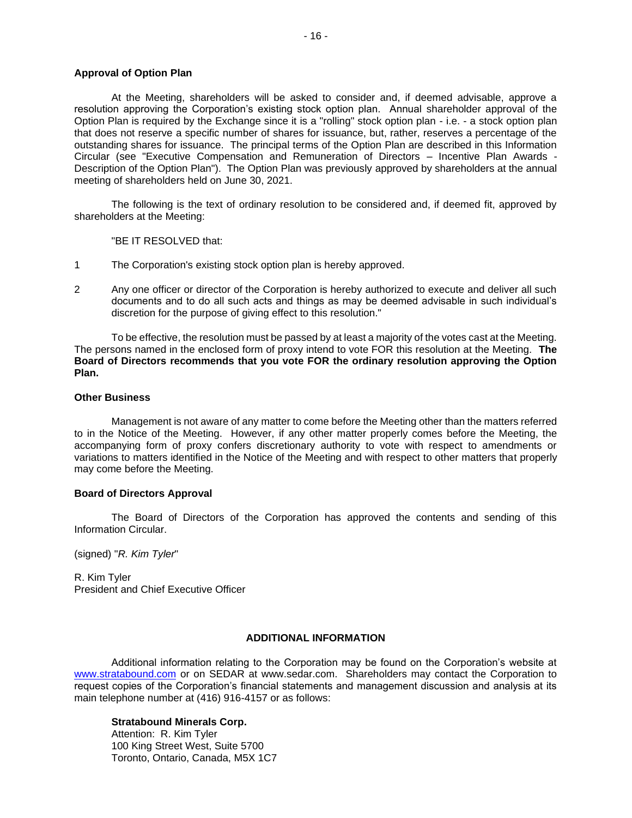# **Approval of Option Plan**

At the Meeting, shareholders will be asked to consider and, if deemed advisable, approve a resolution approving the Corporation's existing stock option plan. Annual shareholder approval of the Option Plan is required by the Exchange since it is a "rolling" stock option plan - i.e. - a stock option plan that does not reserve a specific number of shares for issuance, but, rather, reserves a percentage of the outstanding shares for issuance. The principal terms of the Option Plan are described in this Information Circular (see "Executive Compensation and Remuneration of Directors – Incentive Plan Awards - Description of the Option Plan"). The Option Plan was previously approved by shareholders at the annual meeting of shareholders held on June 30, 2021.

The following is the text of ordinary resolution to be considered and, if deemed fit, approved by shareholders at the Meeting:

"BE IT RESOLVED that:

- 1 The Corporation's existing stock option plan is hereby approved.
- 2 Any one officer or director of the Corporation is hereby authorized to execute and deliver all such documents and to do all such acts and things as may be deemed advisable in such individual's discretion for the purpose of giving effect to this resolution."

To be effective, the resolution must be passed by at least a majority of the votes cast at the Meeting. The persons named in the enclosed form of proxy intend to vote FOR this resolution at the Meeting. **The Board of Directors recommends that you vote FOR the ordinary resolution approving the Option Plan.**

#### **Other Business**

Management is not aware of any matter to come before the Meeting other than the matters referred to in the Notice of the Meeting. However, if any other matter properly comes before the Meeting, the accompanying form of proxy confers discretionary authority to vote with respect to amendments or variations to matters identified in the Notice of the Meeting and with respect to other matters that properly may come before the Meeting.

# **Board of Directors Approval**

The Board of Directors of the Corporation has approved the contents and sending of this Information Circular.

(signed) "*R. Kim Tyler*"

R. Kim Tyler President and Chief Executive Officer

# **ADDITIONAL INFORMATION**

Additional information relating to the Corporation may be found on the Corporation's website at [www.stratabound.com](http://www.stratabound.com/) or on SEDAR at www.sedar.com. Shareholders may contact the Corporation to request copies of the Corporation's financial statements and management discussion and analysis at its main telephone number at (416) 916-4157 or as follows:

# **Stratabound Minerals Corp.**

Attention: R. Kim Tyler 100 King Street West, Suite 5700 Toronto, Ontario, Canada, M5X 1C7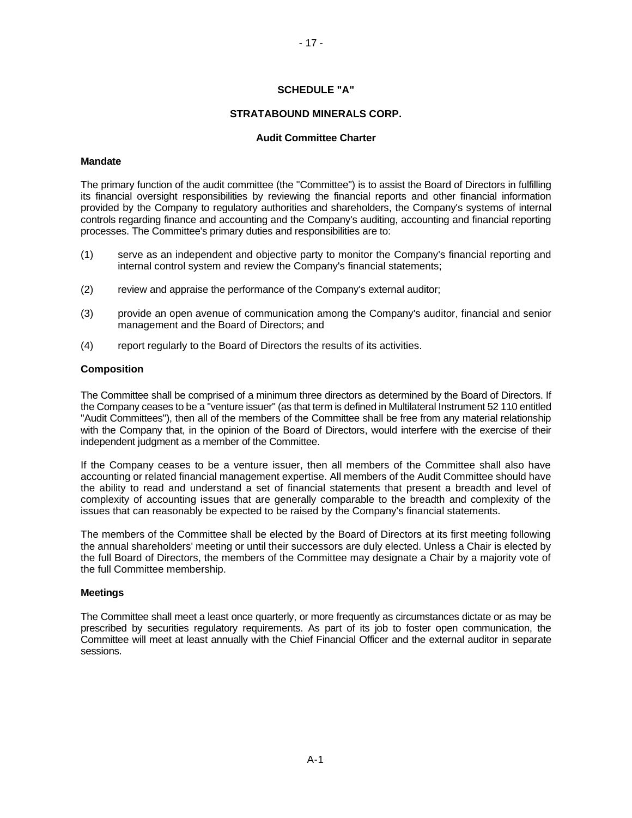# **SCHEDULE "A"**

# **STRATABOUND MINERALS CORP.**

## **Audit Committee Charter**

#### **Mandate**

The primary function of the audit committee (the "Committee") is to assist the Board of Directors in fulfilling its financial oversight responsibilities by reviewing the financial reports and other financial information provided by the Company to regulatory authorities and shareholders, the Company's systems of internal controls regarding finance and accounting and the Company's auditing, accounting and financial reporting processes. The Committee's primary duties and responsibilities are to:

- (1) serve as an independent and objective party to monitor the Company's financial reporting and internal control system and review the Company's financial statements;
- (2) review and appraise the performance of the Company's external auditor;
- (3) provide an open avenue of communication among the Company's auditor, financial and senior management and the Board of Directors; and
- (4) report regularly to the Board of Directors the results of its activities.

# **Composition**

The Committee shall be comprised of a minimum three directors as determined by the Board of Directors. If the Company ceases to be a "venture issuer" (as that term is defined in Multilateral Instrument 52 110 entitled "Audit Committees"), then all of the members of the Committee shall be free from any material relationship with the Company that, in the opinion of the Board of Directors, would interfere with the exercise of their independent judgment as a member of the Committee.

If the Company ceases to be a venture issuer, then all members of the Committee shall also have accounting or related financial management expertise. All members of the Audit Committee should have the ability to read and understand a set of financial statements that present a breadth and level of complexity of accounting issues that are generally comparable to the breadth and complexity of the issues that can reasonably be expected to be raised by the Company's financial statements.

The members of the Committee shall be elected by the Board of Directors at its first meeting following the annual shareholders' meeting or until their successors are duly elected. Unless a Chair is elected by the full Board of Directors, the members of the Committee may designate a Chair by a majority vote of the full Committee membership.

#### **Meetings**

The Committee shall meet a least once quarterly, or more frequently as circumstances dictate or as may be prescribed by securities regulatory requirements. As part of its job to foster open communication, the Committee will meet at least annually with the Chief Financial Officer and the external auditor in separate sessions.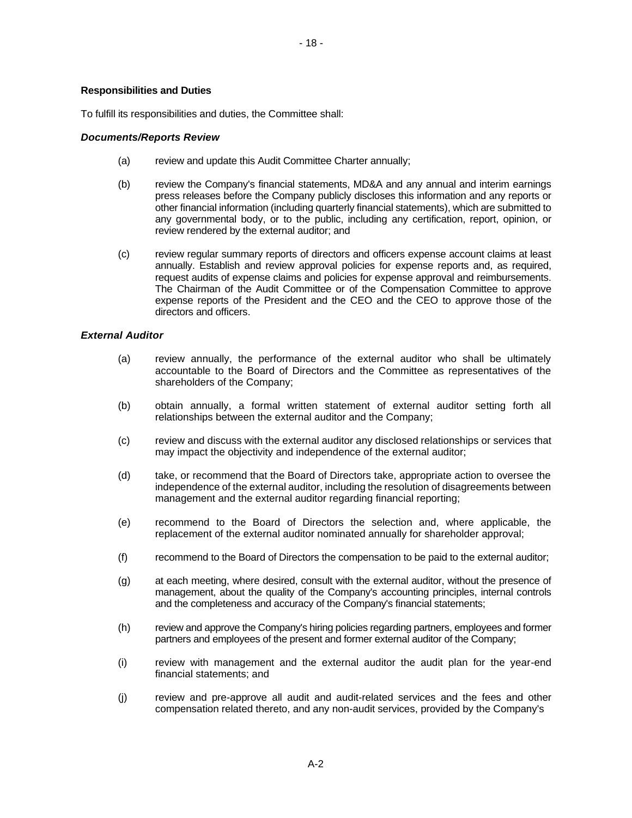# **Responsibilities and Duties**

To fulfill its responsibilities and duties, the Committee shall:

## *Documents/Reports Review*

- (a) review and update this Audit Committee Charter annually;
- (b) review the Company's financial statements, MD&A and any annual and interim earnings press releases before the Company publicly discloses this information and any reports or other financial information (including quarterly financial statements), which are submitted to any governmental body, or to the public, including any certification, report, opinion, or review rendered by the external auditor; and
- (c) review regular summary reports of directors and officers expense account claims at least annually. Establish and review approval policies for expense reports and, as required, request audits of expense claims and policies for expense approval and reimbursements. The Chairman of the Audit Committee or of the Compensation Committee to approve expense reports of the President and the CEO and the CEO to approve those of the directors and officers.

# *External Auditor*

- (a) review annually, the performance of the external auditor who shall be ultimately accountable to the Board of Directors and the Committee as representatives of the shareholders of the Company;
- (b) obtain annually, a formal written statement of external auditor setting forth all relationships between the external auditor and the Company;
- (c) review and discuss with the external auditor any disclosed relationships or services that may impact the objectivity and independence of the external auditor;
- (d) take, or recommend that the Board of Directors take, appropriate action to oversee the independence of the external auditor, including the resolution of disagreements between management and the external auditor regarding financial reporting;
- (e) recommend to the Board of Directors the selection and, where applicable, the replacement of the external auditor nominated annually for shareholder approval;
- (f) recommend to the Board of Directors the compensation to be paid to the external auditor;
- (g) at each meeting, where desired, consult with the external auditor, without the presence of management, about the quality of the Company's accounting principles, internal controls and the completeness and accuracy of the Company's financial statements;
- (h) review and approve the Company's hiring policies regarding partners, employees and former partners and employees of the present and former external auditor of the Company;
- (i) review with management and the external auditor the audit plan for the year-end financial statements; and
- (j) review and pre-approve all audit and audit-related services and the fees and other compensation related thereto, and any non-audit services, provided by the Company's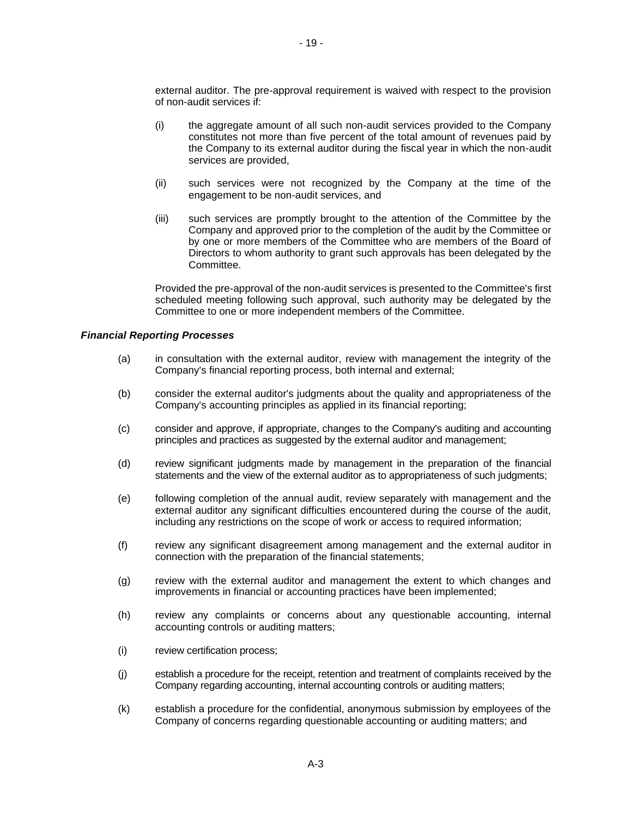external auditor. The pre-approval requirement is waived with respect to the provision of non-audit services if:

- (i) the aggregate amount of all such non-audit services provided to the Company constitutes not more than five percent of the total amount of revenues paid by the Company to its external auditor during the fiscal year in which the non-audit services are provided,
- (ii) such services were not recognized by the Company at the time of the engagement to be non-audit services, and
- (iii) such services are promptly brought to the attention of the Committee by the Company and approved prior to the completion of the audit by the Committee or by one or more members of the Committee who are members of the Board of Directors to whom authority to grant such approvals has been delegated by the **Committee.**

Provided the pre-approval of the non-audit services is presented to the Committee's first scheduled meeting following such approval, such authority may be delegated by the Committee to one or more independent members of the Committee.

#### *Financial Reporting Processes*

- (a) in consultation with the external auditor, review with management the integrity of the Company's financial reporting process, both internal and external;
- (b) consider the external auditor's judgments about the quality and appropriateness of the Company's accounting principles as applied in its financial reporting;
- (c) consider and approve, if appropriate, changes to the Company's auditing and accounting principles and practices as suggested by the external auditor and management;
- (d) review significant judgments made by management in the preparation of the financial statements and the view of the external auditor as to appropriateness of such judgments;
- (e) following completion of the annual audit, review separately with management and the external auditor any significant difficulties encountered during the course of the audit. including any restrictions on the scope of work or access to required information;
- (f) review any significant disagreement among management and the external auditor in connection with the preparation of the financial statements;
- (g) review with the external auditor and management the extent to which changes and improvements in financial or accounting practices have been implemented;
- (h) review any complaints or concerns about any questionable accounting, internal accounting controls or auditing matters;
- (i) review certification process;
- (j) establish a procedure for the receipt, retention and treatment of complaints received by the Company regarding accounting, internal accounting controls or auditing matters;
- (k) establish a procedure for the confidential, anonymous submission by employees of the Company of concerns regarding questionable accounting or auditing matters; and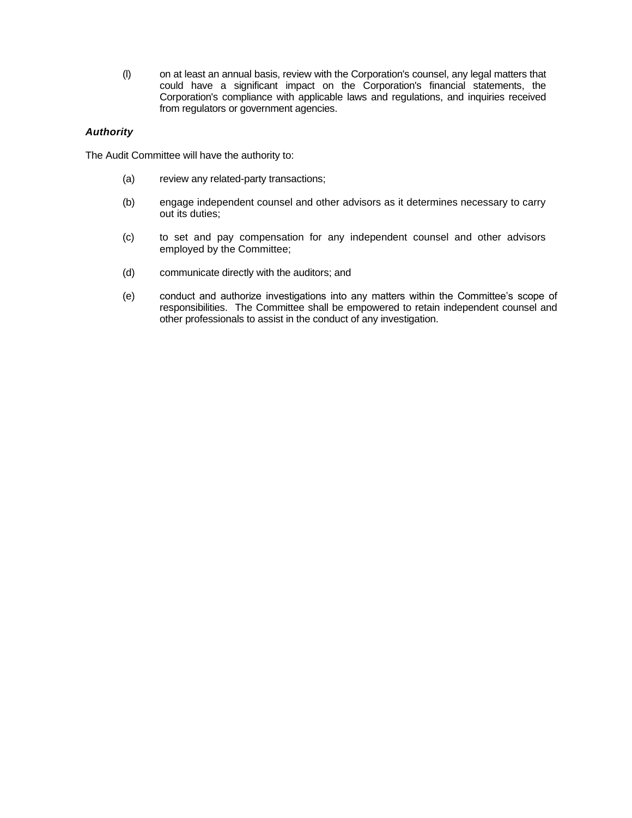(l) on at least an annual basis, review with the Corporation's counsel, any legal matters that could have a significant impact on the Corporation's financial statements, the Corporation's compliance with applicable laws and regulations, and inquiries received from regulators or government agencies.

# *Authority*

The Audit Committee will have the authority to:

- (a) review any related-party transactions;
- (b) engage independent counsel and other advisors as it determines necessary to carry out its duties;
- (c) to set and pay compensation for any independent counsel and other advisors employed by the Committee;
- (d) communicate directly with the auditors; and
- (e) conduct and authorize investigations into any matters within the Committee's scope of responsibilities. The Committee shall be empowered to retain independent counsel and other professionals to assist in the conduct of any investigation.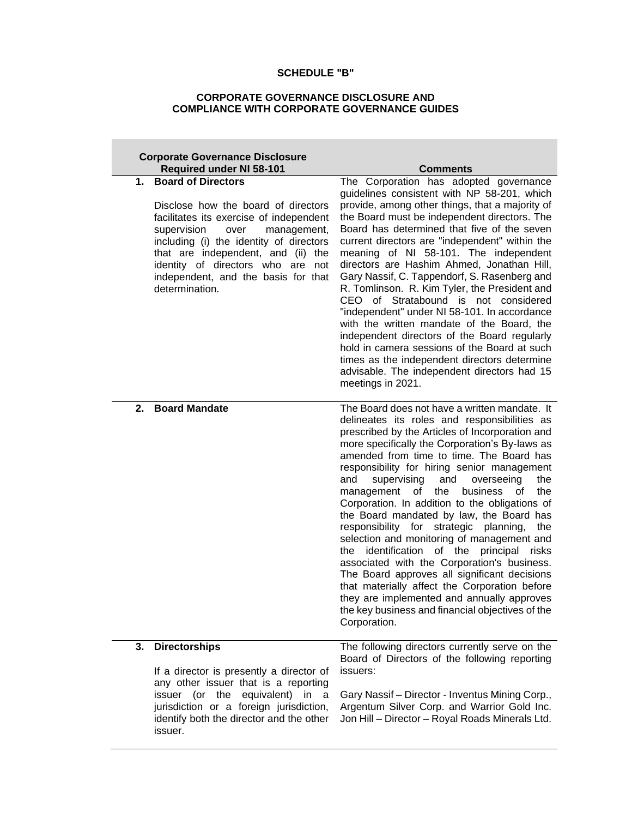# **SCHEDULE "B"**

# **CORPORATE GOVERNANCE DISCLOSURE AND COMPLIANCE WITH CORPORATE GOVERNANCE GUIDES**

| <b>Corporate Governance Disclosure</b>                                                                                                                                                                                                                                                                                                                                    |                                                                                                                                                                                                                                                                                                                                                                                                                                                                                                                                                                                                                                                                                                                                                                                                                                                                                                                       |
|---------------------------------------------------------------------------------------------------------------------------------------------------------------------------------------------------------------------------------------------------------------------------------------------------------------------------------------------------------------------------|-----------------------------------------------------------------------------------------------------------------------------------------------------------------------------------------------------------------------------------------------------------------------------------------------------------------------------------------------------------------------------------------------------------------------------------------------------------------------------------------------------------------------------------------------------------------------------------------------------------------------------------------------------------------------------------------------------------------------------------------------------------------------------------------------------------------------------------------------------------------------------------------------------------------------|
| <b>Required under NI 58-101</b><br><b>Board of Directors</b><br>1.<br>Disclose how the board of directors<br>facilitates its exercise of independent<br>supervision<br>over<br>management,<br>including (i) the identity of directors<br>that are independent, and (ii) the<br>identity of directors who are not<br>independent, and the basis for that<br>determination. | <b>Comments</b><br>The Corporation has adopted governance<br>guidelines consistent with NP 58-201, which<br>provide, among other things, that a majority of<br>the Board must be independent directors. The<br>Board has determined that five of the seven<br>current directors are "independent" within the<br>meaning of NI 58-101. The independent<br>directors are Hashim Ahmed, Jonathan Hill,<br>Gary Nassif, C. Tappendorf, S. Rasenberg and<br>R. Tomlinson. R. Kim Tyler, the President and<br>CEO of Stratabound is not considered<br>"independent" under NI 58-101. In accordance<br>with the written mandate of the Board, the<br>independent directors of the Board regularly<br>hold in camera sessions of the Board at such<br>times as the independent directors determine<br>advisable. The independent directors had 15<br>meetings in 2021.                                                        |
| <b>Board Mandate</b><br>2.                                                                                                                                                                                                                                                                                                                                                | The Board does not have a written mandate. It<br>delineates its roles and responsibilities as<br>prescribed by the Articles of Incorporation and<br>more specifically the Corporation's By-laws as<br>amended from time to time. The Board has<br>responsibility for hiring senior management<br>supervising<br>and<br>and<br>overseeing<br>the<br>the<br>management<br>business<br>0f<br>the<br>of<br>Corporation. In addition to the obligations of<br>the Board mandated by law, the Board has<br>responsibility for strategic planning,<br>the<br>selection and monitoring of management and<br>identification of the principal<br>the<br>risks<br>associated with the Corporation's business.<br>The Board approves all significant decisions<br>that materially affect the Corporation before<br>they are implemented and annually approves<br>the key business and financial objectives of the<br>Corporation. |
| 3.<br><b>Directorships</b><br>If a director is presently a director of<br>any other issuer that is a reporting                                                                                                                                                                                                                                                            | The following directors currently serve on the<br>Board of Directors of the following reporting<br>issuers:                                                                                                                                                                                                                                                                                                                                                                                                                                                                                                                                                                                                                                                                                                                                                                                                           |
| issuer (or the equivalent) in a<br>jurisdiction or a foreign jurisdiction,<br>identify both the director and the other<br>issuer.                                                                                                                                                                                                                                         | Gary Nassif - Director - Inventus Mining Corp.,<br>Argentum Silver Corp. and Warrior Gold Inc.<br>Jon Hill - Director - Royal Roads Minerals Ltd.                                                                                                                                                                                                                                                                                                                                                                                                                                                                                                                                                                                                                                                                                                                                                                     |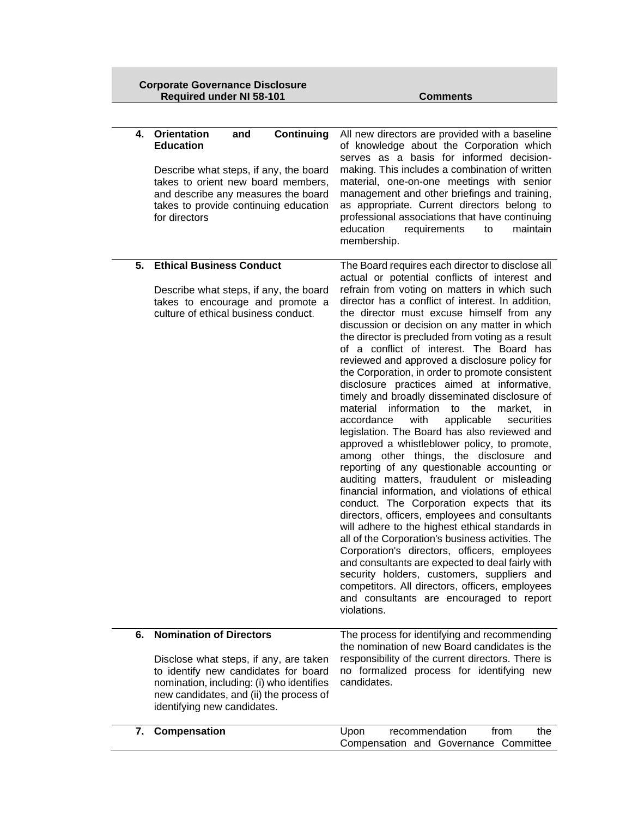| <b>Corporate Governance Disclosure</b> |  |
|----------------------------------------|--|
| <b>Required under NI 58-101</b>        |  |

**Comments** 

|    | Continuing<br>4. Orientation<br>and<br><b>Education</b><br>Describe what steps, if any, the board<br>takes to orient new board members,<br>and describe any measures the board<br>takes to provide continuing education<br>for directors | All new directors are provided with a baseline<br>of knowledge about the Corporation which<br>serves as a basis for informed decision-<br>making. This includes a combination of written<br>material, one-on-one meetings with senior<br>management and other briefings and training,<br>as appropriate. Current directors belong to<br>professional associations that have continuing<br>education<br>requirements<br>maintain<br>to<br>membership.                                                                                                                                                                                                                                                                                                                                                                                                                                                                                                                                                                                                                                                                                                                                                                                                                                                                                                                                                                                                                               |
|----|------------------------------------------------------------------------------------------------------------------------------------------------------------------------------------------------------------------------------------------|------------------------------------------------------------------------------------------------------------------------------------------------------------------------------------------------------------------------------------------------------------------------------------------------------------------------------------------------------------------------------------------------------------------------------------------------------------------------------------------------------------------------------------------------------------------------------------------------------------------------------------------------------------------------------------------------------------------------------------------------------------------------------------------------------------------------------------------------------------------------------------------------------------------------------------------------------------------------------------------------------------------------------------------------------------------------------------------------------------------------------------------------------------------------------------------------------------------------------------------------------------------------------------------------------------------------------------------------------------------------------------------------------------------------------------------------------------------------------------|
| 5. | <b>Ethical Business Conduct</b><br>Describe what steps, if any, the board<br>takes to encourage and promote a<br>culture of ethical business conduct.                                                                                    | The Board requires each director to disclose all<br>actual or potential conflicts of interest and<br>refrain from voting on matters in which such<br>director has a conflict of interest. In addition,<br>the director must excuse himself from any<br>discussion or decision on any matter in which<br>the director is precluded from voting as a result<br>of a conflict of interest. The Board has<br>reviewed and approved a disclosure policy for<br>the Corporation, in order to promote consistent<br>disclosure practices aimed at informative,<br>timely and broadly disseminated disclosure of<br>information<br>material<br>market, in<br>to<br>the<br>applicable<br>accordance<br>with<br>securities<br>legislation. The Board has also reviewed and<br>approved a whistleblower policy, to promote,<br>among other things, the disclosure and<br>reporting of any questionable accounting or<br>auditing matters, fraudulent or misleading<br>financial information, and violations of ethical<br>conduct. The Corporation expects that its<br>directors, officers, employees and consultants<br>will adhere to the highest ethical standards in<br>all of the Corporation's business activities. The<br>Corporation's directors, officers, employees<br>and consultants are expected to deal fairly with<br>security holders, customers, suppliers and<br>competitors. All directors, officers, employees<br>and consultants are encouraged to report<br>violations. |
| 6. | <b>Nomination of Directors</b><br>Disclose what steps, if any, are taken<br>to identify new candidates for board<br>nomination, including: (i) who identifies<br>new candidates, and (ii) the process of<br>identifying new candidates.  | The process for identifying and recommending<br>the nomination of new Board candidates is the<br>responsibility of the current directors. There is<br>no formalized process for identifying new<br>candidates.                                                                                                                                                                                                                                                                                                                                                                                                                                                                                                                                                                                                                                                                                                                                                                                                                                                                                                                                                                                                                                                                                                                                                                                                                                                                     |
| 7. | Compensation                                                                                                                                                                                                                             | from<br>Upon<br>recommendation<br>the<br>Compensation and Governance Committee                                                                                                                                                                                                                                                                                                                                                                                                                                                                                                                                                                                                                                                                                                                                                                                                                                                                                                                                                                                                                                                                                                                                                                                                                                                                                                                                                                                                     |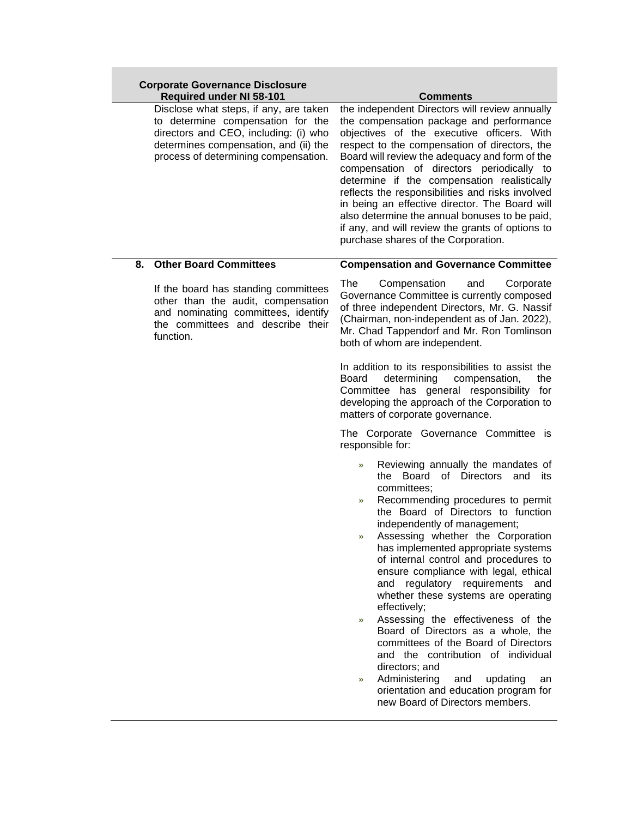| <b>Corporate Governance Disclosure</b><br><b>Required under NI 58-101</b>                                                                                                                             | <b>Comments</b>                                                                                                                                                                                                                                                                                                                                                                                                                                                                                                                                                                                                                                                                                                                                                                                                             |
|-------------------------------------------------------------------------------------------------------------------------------------------------------------------------------------------------------|-----------------------------------------------------------------------------------------------------------------------------------------------------------------------------------------------------------------------------------------------------------------------------------------------------------------------------------------------------------------------------------------------------------------------------------------------------------------------------------------------------------------------------------------------------------------------------------------------------------------------------------------------------------------------------------------------------------------------------------------------------------------------------------------------------------------------------|
| Disclose what steps, if any, are taken<br>to determine compensation for the<br>directors and CEO, including: (i) who<br>determines compensation, and (ii) the<br>process of determining compensation. | the independent Directors will review annually<br>the compensation package and performance<br>objectives of the executive officers. With<br>respect to the compensation of directors, the<br>Board will review the adequacy and form of the<br>compensation of directors periodically to<br>determine if the compensation realistically<br>reflects the responsibilities and risks involved<br>in being an effective director. The Board will<br>also determine the annual bonuses to be paid,<br>if any, and will review the grants of options to<br>purchase shares of the Corporation.                                                                                                                                                                                                                                   |
| <b>Other Board Committees</b><br>8.                                                                                                                                                                   | <b>Compensation and Governance Committee</b>                                                                                                                                                                                                                                                                                                                                                                                                                                                                                                                                                                                                                                                                                                                                                                                |
| If the board has standing committees<br>other than the audit, compensation<br>and nominating committees, identify<br>the committees and describe their<br>function.                                   | The<br>Compensation<br>and<br>Corporate<br>Governance Committee is currently composed<br>of three independent Directors, Mr. G. Nassif<br>(Chairman, non-independent as of Jan. 2022),<br>Mr. Chad Tappendorf and Mr. Ron Tomlinson<br>both of whom are independent.                                                                                                                                                                                                                                                                                                                                                                                                                                                                                                                                                        |
|                                                                                                                                                                                                       | In addition to its responsibilities to assist the<br>determining<br>Board<br>compensation,<br>the<br>Committee has general responsibility for<br>developing the approach of the Corporation to<br>matters of corporate governance.                                                                                                                                                                                                                                                                                                                                                                                                                                                                                                                                                                                          |
|                                                                                                                                                                                                       | The Corporate Governance Committee is<br>responsible for:                                                                                                                                                                                                                                                                                                                                                                                                                                                                                                                                                                                                                                                                                                                                                                   |
|                                                                                                                                                                                                       | Reviewing annually the mandates of<br>$\mathcal{D}$<br>the Board of Directors<br>and<br>its<br>committees;<br>Recommending procedures to permit<br>$\mathcal{D}$<br>the Board of Directors to function<br>independently of management;<br>Assessing whether the Corporation<br>$\gg$<br>has implemented appropriate systems<br>of internal control and procedures to<br>ensure compliance with legal, ethical<br>and regulatory requirements and<br>whether these systems are operating<br>effectively;<br>Assessing the effectiveness of the<br>$\gg$<br>Board of Directors as a whole, the<br>committees of the Board of Directors<br>and the contribution of individual<br>directors; and<br>Administering<br>updating<br>and<br>an<br>$\gg$<br>orientation and education program for<br>new Board of Directors members. |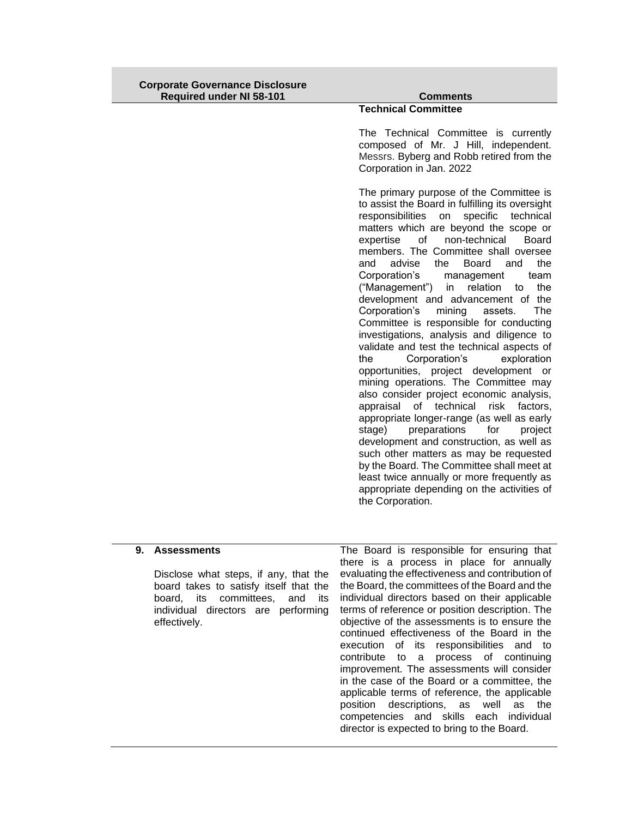| <b>Corporate Governance Disclosure</b><br><b>Required under NI 58-101</b> | <b>Comments</b>                                                                                                                                                                                                                                                                                                                                                                                                                                                                                                                                                                                                                                                                                                                                                                                                                                                                                                                                                                                                                                                                                                                                                                                                          |
|---------------------------------------------------------------------------|--------------------------------------------------------------------------------------------------------------------------------------------------------------------------------------------------------------------------------------------------------------------------------------------------------------------------------------------------------------------------------------------------------------------------------------------------------------------------------------------------------------------------------------------------------------------------------------------------------------------------------------------------------------------------------------------------------------------------------------------------------------------------------------------------------------------------------------------------------------------------------------------------------------------------------------------------------------------------------------------------------------------------------------------------------------------------------------------------------------------------------------------------------------------------------------------------------------------------|
|                                                                           | <b>Technical Committee</b>                                                                                                                                                                                                                                                                                                                                                                                                                                                                                                                                                                                                                                                                                                                                                                                                                                                                                                                                                                                                                                                                                                                                                                                               |
|                                                                           | The Technical Committee is currently<br>composed of Mr. J Hill, independent.<br>Messrs. Byberg and Robb retired from the<br>Corporation in Jan. 2022                                                                                                                                                                                                                                                                                                                                                                                                                                                                                                                                                                                                                                                                                                                                                                                                                                                                                                                                                                                                                                                                     |
|                                                                           | The primary purpose of the Committee is<br>to assist the Board in fulfilling its oversight<br>responsibilities<br>specific<br>technical<br>on<br>matters which are beyond the scope or<br>non-technical<br>expertise<br>of<br><b>Board</b><br>members. The Committee shall oversee<br>advise<br>the<br>and<br>the<br><b>Board</b><br>and<br>Corporation's<br>management<br>team<br>("Management")<br>the<br>relation<br>to<br>in<br>development and advancement of the<br>Corporation's<br>mining<br>The<br>assets.<br>Committee is responsible for conducting<br>investigations, analysis and diligence to<br>validate and test the technical aspects of<br>the<br>Corporation's<br>exploration<br>opportunities, project development or<br>mining operations. The Committee may<br>also consider project economic analysis,<br>appraisal of technical<br>risk<br>factors,<br>appropriate longer-range (as well as early<br>preparations<br>stage)<br>for<br>project<br>development and construction, as well as<br>such other matters as may be requested<br>by the Board. The Committee shall meet at<br>least twice annually or more frequently as<br>appropriate depending on the activities of<br>the Corporation. |

# **9. Assessments**

Disclose what steps, if any, that the board takes to satisfy itself that the board, its committees, and its individual directors are performing effectively.

The Board is responsible for ensuring that there is a process in place for annually evaluating the effectiveness and contribution of the Board, the committees of the Board and the individual directors based on their applicable terms of reference or position description. The objective of the assessments is to ensure the continued effectiveness of the Board in the execution of its responsibilities and to contribute to a process of continuing improvement. The assessments will consider in the case of the Board or a committee, the applicable terms of reference, the applicable position descriptions, as well as the competencies and skills each individual director is expected to bring to the Board.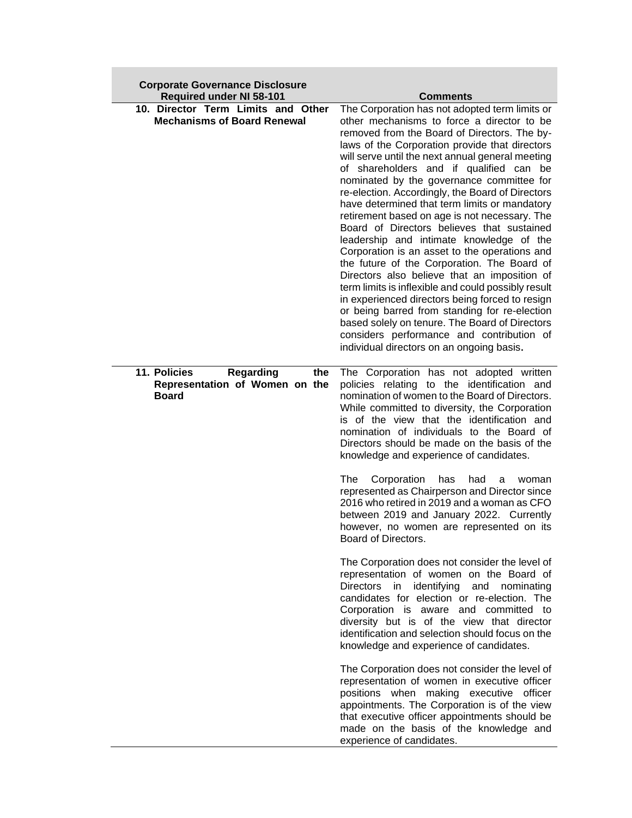| <b>Corporate Governance Disclosure</b><br><b>Required under NI 58-101</b>                 | <b>Comments</b>                                                                                                                                                                                                                                                                                                                                                                                                                                                                                                                                                                                                                                                                                                                                                                                                                                                                                                                                                                                                                                   |
|-------------------------------------------------------------------------------------------|---------------------------------------------------------------------------------------------------------------------------------------------------------------------------------------------------------------------------------------------------------------------------------------------------------------------------------------------------------------------------------------------------------------------------------------------------------------------------------------------------------------------------------------------------------------------------------------------------------------------------------------------------------------------------------------------------------------------------------------------------------------------------------------------------------------------------------------------------------------------------------------------------------------------------------------------------------------------------------------------------------------------------------------------------|
| 10. Director Term Limits and Other<br><b>Mechanisms of Board Renewal</b>                  | The Corporation has not adopted term limits or<br>other mechanisms to force a director to be<br>removed from the Board of Directors. The by-<br>laws of the Corporation provide that directors<br>will serve until the next annual general meeting<br>of shareholders and if qualified can be<br>nominated by the governance committee for<br>re-election. Accordingly, the Board of Directors<br>have determined that term limits or mandatory<br>retirement based on age is not necessary. The<br>Board of Directors believes that sustained<br>leadership and intimate knowledge of the<br>Corporation is an asset to the operations and<br>the future of the Corporation. The Board of<br>Directors also believe that an imposition of<br>term limits is inflexible and could possibly result<br>in experienced directors being forced to resign<br>or being barred from standing for re-election<br>based solely on tenure. The Board of Directors<br>considers performance and contribution of<br>individual directors on an ongoing basis. |
| 11. Policies<br><b>Regarding</b><br>the<br>Representation of Women on the<br><b>Board</b> | The Corporation has not adopted written<br>policies relating to the identification and<br>nomination of women to the Board of Directors.<br>While committed to diversity, the Corporation<br>is of the view that the identification and<br>nomination of individuals to the Board of<br>Directors should be made on the basis of the<br>knowledge and experience of candidates.<br>The<br>Corporation<br>has<br>had<br>a<br>woman<br>represented as Chairperson and Director since<br>2016 who retired in 2019 and a woman as CFO<br>between 2019 and January 2022. Currently<br>however, no women are represented on its<br>Board of Directors.                                                                                                                                                                                                                                                                                                                                                                                                  |
|                                                                                           | The Corporation does not consider the level of<br>representation of women on the Board of<br><b>Directors</b><br>identifying<br>in<br>and<br>nominating<br>candidates for election or re-election. The<br>Corporation is aware and committed to<br>diversity but is of the view that director<br>identification and selection should focus on the<br>knowledge and experience of candidates.                                                                                                                                                                                                                                                                                                                                                                                                                                                                                                                                                                                                                                                      |
|                                                                                           | The Corporation does not consider the level of<br>representation of women in executive officer<br>positions when making executive officer<br>appointments. The Corporation is of the view<br>that executive officer appointments should be<br>made on the basis of the knowledge and<br>experience of candidates.                                                                                                                                                                                                                                                                                                                                                                                                                                                                                                                                                                                                                                                                                                                                 |

**Contract**